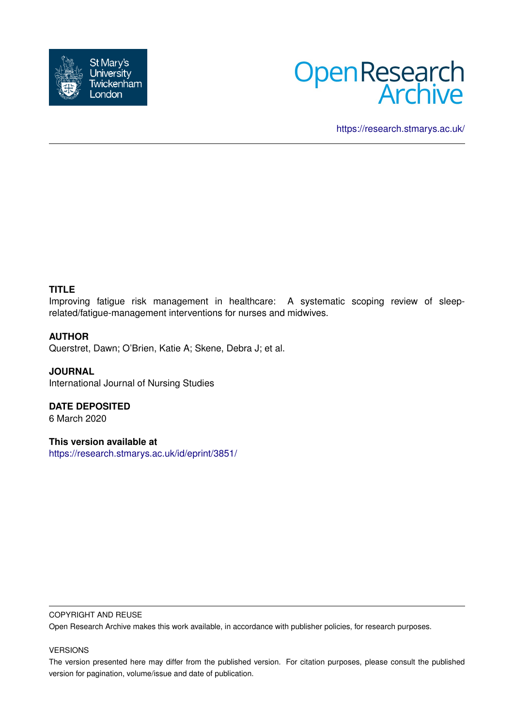



<https://research.stmarys.ac.uk/>

# **TITLE**

Improving fatigue risk management in healthcare: A systematic scoping review of sleeprelated/fatigue-management interventions for nurses and midwives.

### **AUTHOR**

Querstret, Dawn; O'Brien, Katie A; Skene, Debra J; et al.

**JOURNAL** International Journal of Nursing Studies

**DATE DEPOSITED** 6 March 2020

**This version available at**

<https://research.stmarys.ac.uk/id/eprint/3851/>

#### COPYRIGHT AND REUSE

Open Research Archive makes this work available, in accordance with publisher policies, for research purposes.

#### VERSIONS

The version presented here may differ from the published version. For citation purposes, please consult the published version for pagination, volume/issue and date of publication.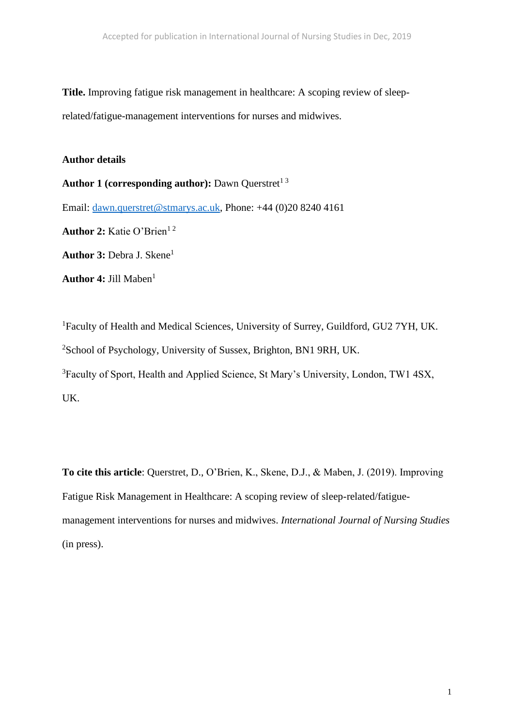**Title.** Improving fatigue risk management in healthcare: A scoping review of sleeprelated/fatigue-management interventions for nurses and midwives.

### **Author details**

**Author 1 (corresponding author):** Dawn Querstret<sup>13</sup> Email: dawn.querstret@stmarys.ac.uk, Phone: +44 (0)20 8240 4161 Author 2: Katie O'Brien<sup>12</sup>

Author 3: Debra J. Skene<sup>1</sup>

Author 4: Jill Maben<sup>1</sup>

Faculty of Health and Medical Sciences, University of Surrey, Guildford, GU2 7YH, UK. School of Psychology, University of Sussex, Brighton, BN1 9RH, UK. Faculty of Sport, Health and Applied Science, St Mary's University, London, TW1 4SX, UK.

**To cite this article**: Querstret, D., O'Brien, K., Skene, D.J., & Maben, J. (2019). Improving Fatigue Risk Management in Healthcare: A scoping review of sleep-related/fatiguemanagement interventions for nurses and midwives. *International Journal of Nursing Studies* (in press).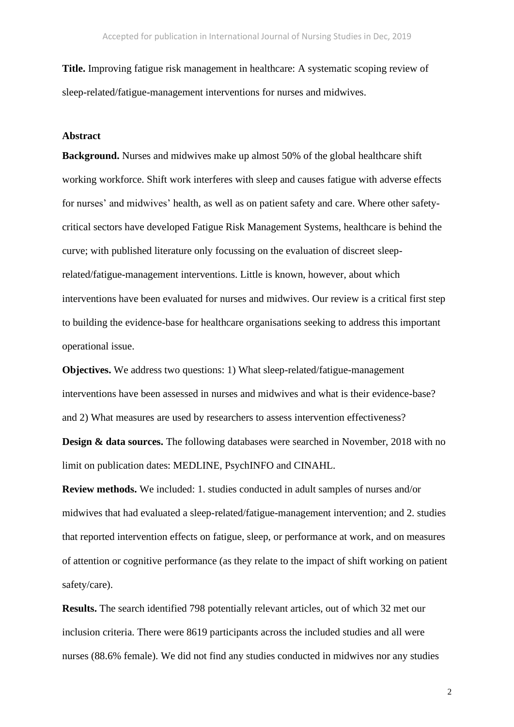**Title.** Improving fatigue risk management in healthcare: A systematic scoping review of sleep-related/fatigue-management interventions for nurses and midwives.

#### **Abstract**

**Background.** Nurses and midwives make up almost 50% of the global healthcare shift working workforce. Shift work interferes with sleep and causes fatigue with adverse effects for nurses' and midwives' health, as well as on patient safety and care. Where other safetycritical sectors have developed Fatigue Risk Management Systems, healthcare is behind the curve; with published literature only focussing on the evaluation of discreet sleeprelated/fatigue-management interventions. Little is known, however, about which interventions have been evaluated for nurses and midwives. Our review is a critical first step to building the evidence-base for healthcare organisations seeking to address this important operational issue.

**Objectives.** We address two questions: 1) What sleep-related/fatigue-management interventions have been assessed in nurses and midwives and what is their evidence-base? and 2) What measures are used by researchers to assess intervention effectiveness? **Design & data sources.** The following databases were searched in November, 2018 with no limit on publication dates: MEDLINE, PsychINFO and CINAHL.

**Review methods.** We included: 1. studies conducted in adult samples of nurses and/or midwives that had evaluated a sleep-related/fatigue-management intervention; and 2. studies that reported intervention effects on fatigue, sleep, or performance at work, and on measures of attention or cognitive performance (as they relate to the impact of shift working on patient safety/care).

**Results.** The search identified 798 potentially relevant articles, out of which 32 met our inclusion criteria. There were 8619 participants across the included studies and all were nurses (88.6% female). We did not find any studies conducted in midwives nor any studies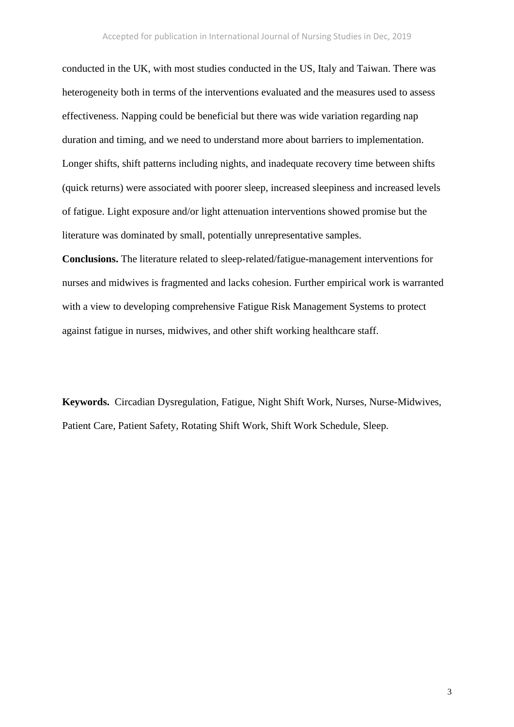conducted in the UK, with most studies conducted in the US, Italy and Taiwan. There was heterogeneity both in terms of the interventions evaluated and the measures used to assess effectiveness. Napping could be beneficial but there was wide variation regarding nap duration and timing, and we need to understand more about barriers to implementation. Longer shifts, shift patterns including nights, and inadequate recovery time between shifts (quick returns) were associated with poorer sleep, increased sleepiness and increased levels of fatigue. Light exposure and/or light attenuation interventions showed promise but the literature was dominated by small, potentially unrepresentative samples.

**Conclusions.** The literature related to sleep-related/fatigue-management interventions for nurses and midwives is fragmented and lacks cohesion. Further empirical work is warranted with a view to developing comprehensive Fatigue Risk Management Systems to protect against fatigue in nurses, midwives, and other shift working healthcare staff.

**Keywords.** Circadian Dysregulation, Fatigue, Night Shift Work, Nurses, Nurse-Midwives, Patient Care, Patient Safety, Rotating Shift Work, Shift Work Schedule, Sleep.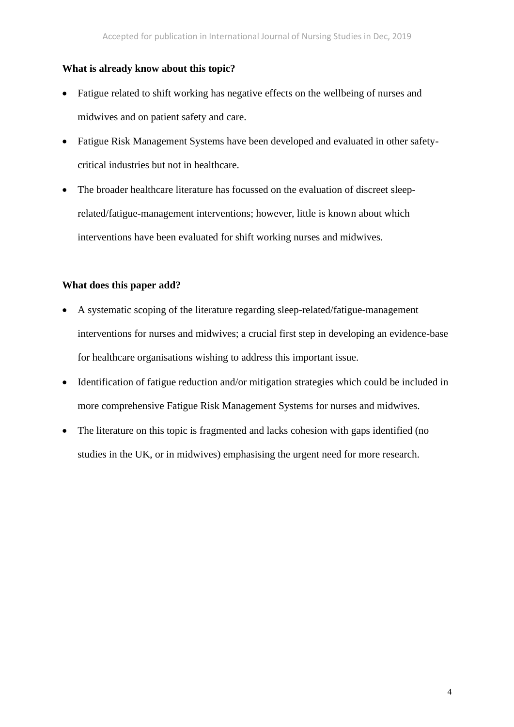# **What is already know about this topic?**

- Fatigue related to shift working has negative effects on the wellbeing of nurses and midwives and on patient safety and care.
- Fatigue Risk Management Systems have been developed and evaluated in other safetycritical industries but not in healthcare.
- The broader healthcare literature has focussed on the evaluation of discreet sleeprelated/fatigue-management interventions; however, little is known about which interventions have been evaluated for shift working nurses and midwives.

# **What does this paper add?**

- A systematic scoping of the literature regarding sleep-related/fatigue-management interventions for nurses and midwives; a crucial first step in developing an evidence-base for healthcare organisations wishing to address this important issue.
- Identification of fatigue reduction and/or mitigation strategies which could be included in more comprehensive Fatigue Risk Management Systems for nurses and midwives.
- The literature on this topic is fragmented and lacks cohesion with gaps identified (no studies in the UK, or in midwives) emphasising the urgent need for more research.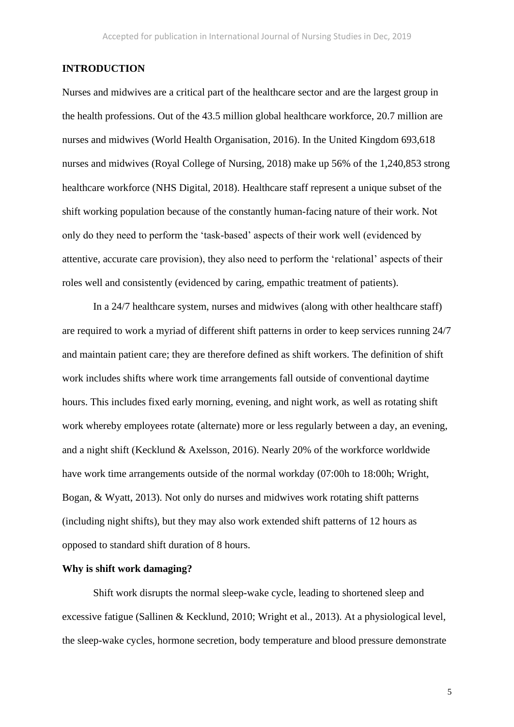### **INTRODUCTION**

Nurses and midwives are a critical part of the healthcare sector and are the largest group in the health professions. Out of the 43.5 million global healthcare workforce, 20.7 million are nurses and midwives (World Health Organisation, 2016). In the United Kingdom 693,618 nurses and midwives (Royal College of Nursing, 2018) make up 56% of the 1,240,853 strong healthcare workforce (NHS Digital, 2018). Healthcare staff represent a unique subset of the shift working population because of the constantly human-facing nature of their work. Not only do they need to perform the 'task-based' aspects of their work well (evidenced by attentive, accurate care provision), they also need to perform the 'relational' aspects of their roles well and consistently (evidenced by caring, empathic treatment of patients).

In a 24/7 healthcare system, nurses and midwives (along with other healthcare staff) are required to work a myriad of different shift patterns in order to keep services running 24/7 and maintain patient care; they are therefore defined as shift workers. The definition of shift work includes shifts where work time arrangements fall outside of conventional daytime hours. This includes fixed early morning, evening, and night work, as well as rotating shift work whereby employees rotate (alternate) more or less regularly between a day, an evening, and a night shift (Kecklund & Axelsson, 2016). Nearly 20% of the workforce worldwide have work time arrangements outside of the normal workday (07:00h to 18:00h; Wright, Bogan, & Wyatt, 2013). Not only do nurses and midwives work rotating shift patterns (including night shifts), but they may also work extended shift patterns of 12 hours as opposed to standard shift duration of 8 hours.

#### **Why is shift work damaging?**

Shift work disrupts the normal sleep-wake cycle, leading to shortened sleep and excessive fatigue (Sallinen & Kecklund, 2010; Wright et al., 2013). At a physiological level, the sleep-wake cycles, hormone secretion, body temperature and blood pressure demonstrate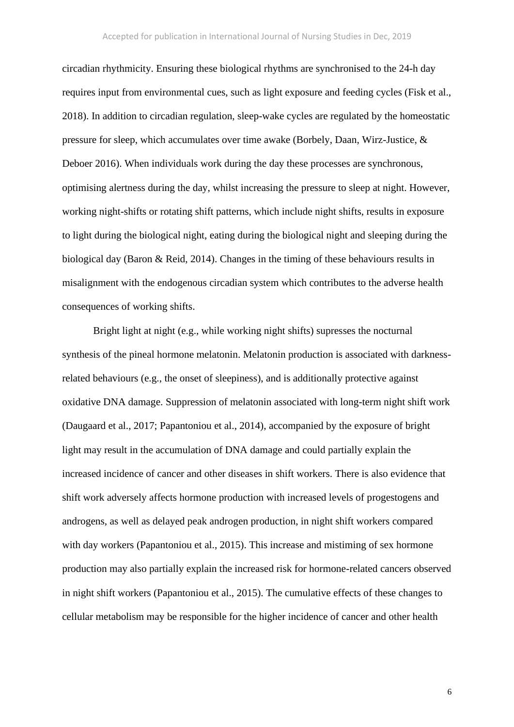circadian rhythmicity. Ensuring these biological rhythms are synchronised to the 24-h day requires input from environmental cues, such as light exposure and feeding cycles (Fisk et al., 2018). In addition to circadian regulation, sleep-wake cycles are regulated by the homeostatic pressure for sleep, which accumulates over time awake (Borbely, Daan, Wirz-Justice, & Deboer 2016). When individuals work during the day these processes are synchronous, optimising alertness during the day, whilst increasing the pressure to sleep at night. However, working night-shifts or rotating shift patterns, which include night shifts, results in exposure to light during the biological night, eating during the biological night and sleeping during the biological day (Baron & Reid, 2014). Changes in the timing of these behaviours results in misalignment with the endogenous circadian system which contributes to the adverse health consequences of working shifts.

Bright light at night (e.g., while working night shifts) supresses the nocturnal synthesis of the pineal hormone melatonin. Melatonin production is associated with darknessrelated behaviours (e.g., the onset of sleepiness), and is additionally protective against oxidative DNA damage. Suppression of melatonin associated with long-term night shift work (Daugaard et al., 2017; Papantoniou et al., 2014), accompanied by the exposure of bright light may result in the accumulation of DNA damage and could partially explain the increased incidence of cancer and other diseases in shift workers. There is also evidence that shift work adversely affects hormone production with increased levels of progestogens and androgens, as well as delayed peak androgen production, in night shift workers compared with day workers (Papantoniou et al., 2015). This increase and mistiming of sex hormone production may also partially explain the increased risk for hormone-related cancers observed in night shift workers (Papantoniou et al., 2015). The cumulative effects of these changes to cellular metabolism may be responsible for the higher incidence of cancer and other health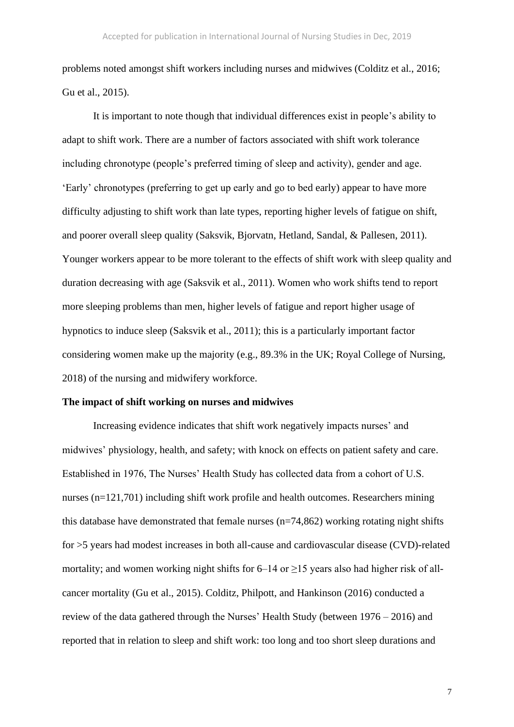problems noted amongst shift workers including nurses and midwives (Colditz et al., 2016; Gu et al., 2015).

It is important to note though that individual differences exist in people's ability to adapt to shift work. There are a number of factors associated with shift work tolerance including chronotype (people's preferred timing of sleep and activity), gender and age. 'Early' chronotypes (preferring to get up early and go to bed early) appear to have more difficulty adjusting to shift work than late types, reporting higher levels of fatigue on shift, and poorer overall sleep quality (Saksvik, Bjorvatn, Hetland, Sandal, & Pallesen, 2011). Younger workers appear to be more tolerant to the effects of shift work with sleep quality and duration decreasing with age (Saksvik et al., 2011). Women who work shifts tend to report more sleeping problems than men, higher levels of fatigue and report higher usage of hypnotics to induce sleep (Saksvik et al., 2011); this is a particularly important factor considering women make up the majority (e.g., 89.3% in the UK; Royal College of Nursing, 2018) of the nursing and midwifery workforce.

### **The impact of shift working on nurses and midwives**

Increasing evidence indicates that shift work negatively impacts nurses' and midwives' physiology, health, and safety; with knock on effects on patient safety and care. Established in 1976, The Nurses' Health Study has collected data from a cohort of U.S. nurses (n=121,701) including shift work profile and health outcomes. Researchers mining this database have demonstrated that female nurses  $(n=74,862)$  working rotating night shifts for >5 years had modest increases in both all-cause and cardiovascular disease (CVD)-related mortality; and women working night shifts for  $6-14$  or  $\geq 15$  years also had higher risk of allcancer mortality (Gu et al., 2015). Colditz, Philpott, and Hankinson (2016) conducted a review of the data gathered through the Nurses' Health Study (between 1976 – 2016) and reported that in relation to sleep and shift work: too long and too short sleep durations and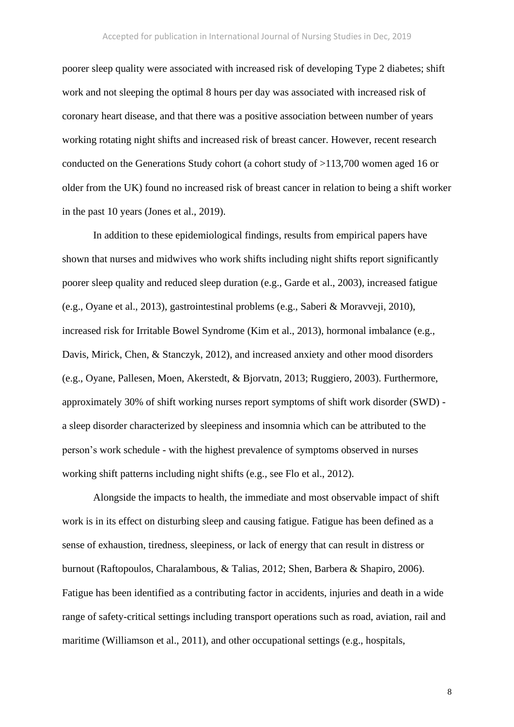poorer sleep quality were associated with increased risk of developing Type 2 diabetes; shift work and not sleeping the optimal 8 hours per day was associated with increased risk of coronary heart disease, and that there was a positive association between number of years working rotating night shifts and increased risk of breast cancer. However, recent research conducted on the Generations Study cohort (a cohort study of >113,700 women aged 16 or older from the UK) found no increased risk of breast cancer in relation to being a shift worker in the past 10 years (Jones et al., 2019).

In addition to these epidemiological findings, results from empirical papers have shown that nurses and midwives who work shifts including night shifts report significantly poorer sleep quality and reduced sleep duration (e.g., Garde et al., 2003), increased fatigue (e.g., Oyane et al., 2013), gastrointestinal problems (e.g., Saberi & Moravveji, 2010), increased risk for Irritable Bowel Syndrome (Kim et al., 2013), hormonal imbalance (e.g., Davis, Mirick, Chen, & Stanczyk, 2012), and increased anxiety and other mood disorders (e.g., Oyane, Pallesen, Moen, Akerstedt, & Bjorvatn, 2013; Ruggiero, 2003). Furthermore, approximately 30% of shift working nurses report symptoms of shift work disorder (SWD) a sleep disorder characterized by sleepiness and insomnia which can be attributed to the person's work schedule - with the highest prevalence of symptoms observed in nurses working shift patterns including night shifts (e.g., see Flo et al., 2012).

Alongside the impacts to health, the immediate and most observable impact of shift work is in its effect on disturbing sleep and causing fatigue. Fatigue has been defined as a sense of exhaustion, tiredness, sleepiness, or lack of energy that can result in distress or burnout (Raftopoulos, Charalambous, & Talias, 2012; Shen, Barbera & Shapiro, 2006). Fatigue has been identified as a contributing factor in accidents, injuries and death in a wide range of safety-critical settings including transport operations such as road, aviation, rail and maritime (Williamson et al., 2011), and other occupational settings (e.g., hospitals,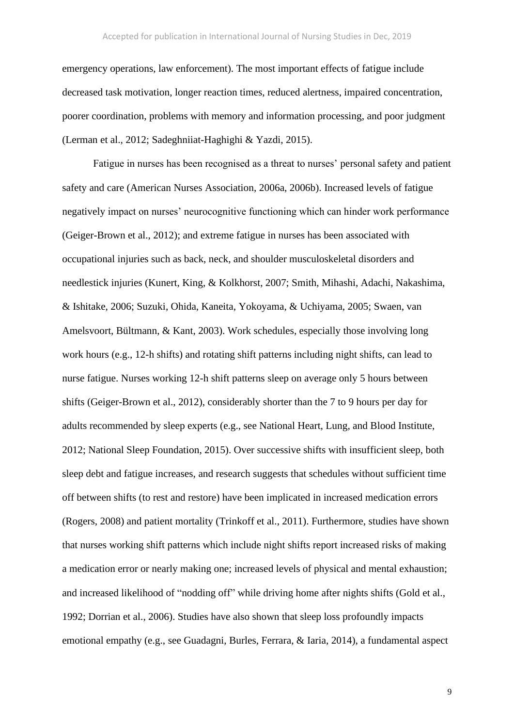emergency operations, law enforcement). The most important effects of fatigue include decreased task motivation, longer reaction times, reduced alertness, impaired concentration, poorer coordination, problems with memory and information processing, and poor judgment (Lerman et al., 2012; Sadeghniiat-Haghighi & Yazdi, 2015).

Fatigue in nurses has been recognised as a threat to nurses' personal safety and patient safety and care (American Nurses Association, 2006a, 2006b). Increased levels of fatigue negatively impact on nurses' neurocognitive functioning which can hinder work performance (Geiger-Brown et al., 2012); and extreme fatigue in nurses has been associated with occupational injuries such as back, neck, and shoulder musculoskeletal disorders and needlestick injuries (Kunert, King, & Kolkhorst, 2007; Smith, Mihashi, Adachi, Nakashima, & Ishitake, 2006; Suzuki, Ohida, Kaneita, Yokoyama, & Uchiyama, 2005; Swaen, van Amelsvoort, Bültmann, & Kant, 2003). Work schedules, especially those involving long work hours (e.g., 12-h shifts) and rotating shift patterns including night shifts, can lead to nurse fatigue. Nurses working 12-h shift patterns sleep on average only 5 hours between shifts (Geiger-Brown et al., 2012), considerably shorter than the 7 to 9 hours per day for adults recommended by sleep experts (e.g., see National Heart, Lung, and Blood Institute, 2012; National Sleep Foundation, 2015). Over successive shifts with insufficient sleep, both sleep debt and fatigue increases, and research suggests that schedules without sufficient time off between shifts (to rest and restore) have been implicated in increased medication errors (Rogers, 2008) and patient mortality (Trinkoff et al., 2011). Furthermore, studies have shown that nurses working shift patterns which include night shifts report increased risks of making a medication error or nearly making one; increased levels of physical and mental exhaustion; and increased likelihood of "nodding off" while driving home after nights shifts (Gold et al., 1992; Dorrian et al., 2006). Studies have also shown that sleep loss profoundly impacts emotional empathy (e.g., see Guadagni, Burles, Ferrara, & Iaria, 2014), a fundamental aspect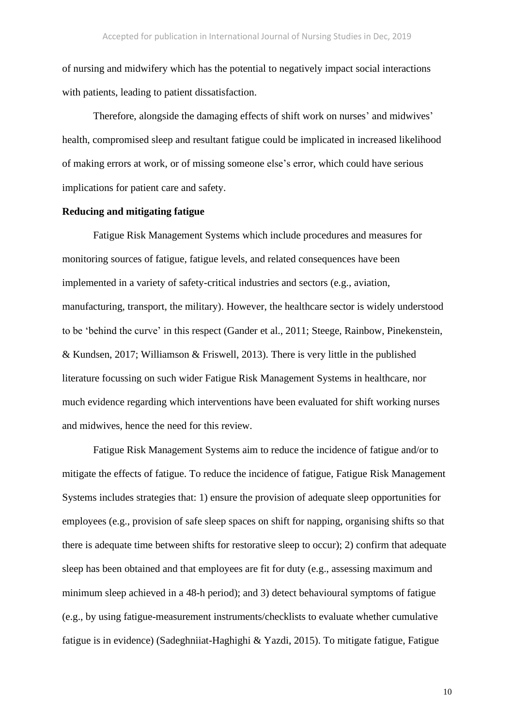of nursing and midwifery which has the potential to negatively impact social interactions with patients, leading to patient dissatisfaction.

Therefore, alongside the damaging effects of shift work on nurses' and midwives' health, compromised sleep and resultant fatigue could be implicated in increased likelihood of making errors at work, or of missing someone else's error, which could have serious implications for patient care and safety.

### **Reducing and mitigating fatigue**

Fatigue Risk Management Systems which include procedures and measures for monitoring sources of fatigue, fatigue levels, and related consequences have been implemented in a variety of safety-critical industries and sectors (e.g., aviation, manufacturing, transport, the military). However, the healthcare sector is widely understood to be 'behind the curve' in this respect (Gander et al., 2011; Steege, Rainbow, Pinekenstein, & Kundsen, 2017; Williamson & Friswell, 2013). There is very little in the published literature focussing on such wider Fatigue Risk Management Systems in healthcare, nor much evidence regarding which interventions have been evaluated for shift working nurses and midwives, hence the need for this review.

Fatigue Risk Management Systems aim to reduce the incidence of fatigue and/or to mitigate the effects of fatigue. To reduce the incidence of fatigue, Fatigue Risk Management Systems includes strategies that: 1) ensure the provision of adequate sleep opportunities for employees (e.g., provision of safe sleep spaces on shift for napping, organising shifts so that there is adequate time between shifts for restorative sleep to occur); 2) confirm that adequate sleep has been obtained and that employees are fit for duty (e.g., assessing maximum and minimum sleep achieved in a 48-h period); and 3) detect behavioural symptoms of fatigue (e.g., by using fatigue-measurement instruments/checklists to evaluate whether cumulative fatigue is in evidence) (Sadeghniiat-Haghighi & Yazdi, 2015). To mitigate fatigue, Fatigue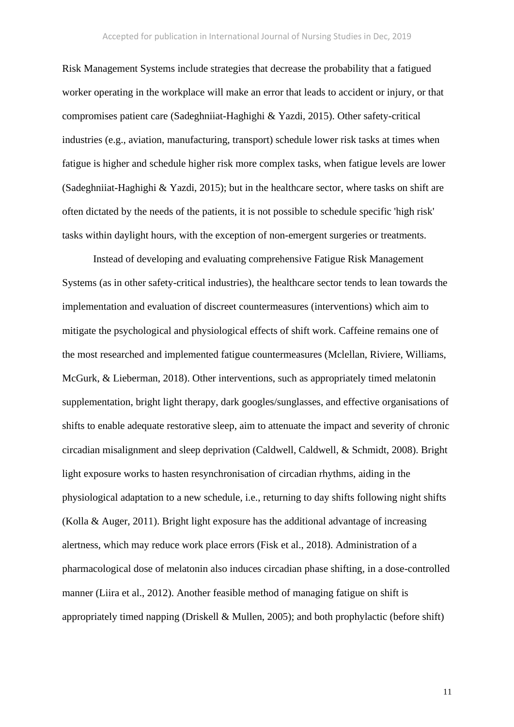Risk Management Systems include strategies that decrease the probability that a fatigued worker operating in the workplace will make an error that leads to accident or injury, or that compromises patient care (Sadeghniiat-Haghighi & Yazdi, 2015). Other safety-critical industries (e.g., aviation, manufacturing, transport) schedule lower risk tasks at times when fatigue is higher and schedule higher risk more complex tasks, when fatigue levels are lower (Sadeghniiat-Haghighi & Yazdi, 2015); but in the healthcare sector, where tasks on shift are often dictated by the needs of the patients, it is not possible to schedule specific 'high risk' tasks within daylight hours, with the exception of non-emergent surgeries or treatments.

Instead of developing and evaluating comprehensive Fatigue Risk Management Systems (as in other safety-critical industries), the healthcare sector tends to lean towards the implementation and evaluation of discreet countermeasures (interventions) which aim to mitigate the psychological and physiological effects of shift work. Caffeine remains one of the most researched and implemented fatigue countermeasures (Mclellan, Riviere, Williams, McGurk, & Lieberman, 2018). Other interventions, such as appropriately timed melatonin supplementation, bright light therapy, dark googles/sunglasses, and effective organisations of shifts to enable adequate restorative sleep, aim to attenuate the impact and severity of chronic circadian misalignment and sleep deprivation (Caldwell, Caldwell, & Schmidt, 2008). Bright light exposure works to hasten resynchronisation of circadian rhythms, aiding in the physiological adaptation to a new schedule, i.e., returning to day shifts following night shifts (Kolla & Auger, 2011). Bright light exposure has the additional advantage of increasing alertness, which may reduce work place errors (Fisk et al., 2018). Administration of a pharmacological dose of melatonin also induces circadian phase shifting, in a dose-controlled manner (Liira et al., 2012). Another feasible method of managing fatigue on shift is appropriately timed napping (Driskell & Mullen, 2005); and both prophylactic (before shift)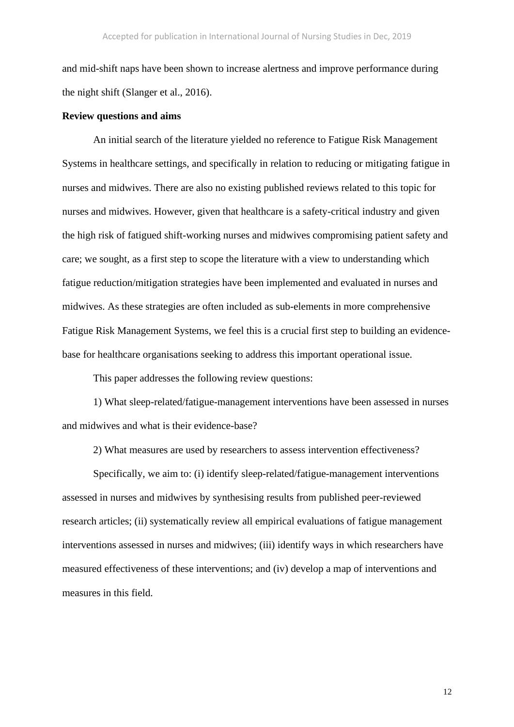and mid-shift naps have been shown to increase alertness and improve performance during the night shift (Slanger et al., 2016).

#### **Review questions and aims**

An initial search of the literature yielded no reference to Fatigue Risk Management Systems in healthcare settings, and specifically in relation to reducing or mitigating fatigue in nurses and midwives. There are also no existing published reviews related to this topic for nurses and midwives. However, given that healthcare is a safety-critical industry and given the high risk of fatigued shift-working nurses and midwives compromising patient safety and care; we sought, as a first step to scope the literature with a view to understanding which fatigue reduction/mitigation strategies have been implemented and evaluated in nurses and midwives. As these strategies are often included as sub-elements in more comprehensive Fatigue Risk Management Systems, we feel this is a crucial first step to building an evidencebase for healthcare organisations seeking to address this important operational issue.

This paper addresses the following review questions:

1) What sleep-related/fatigue-management interventions have been assessed in nurses and midwives and what is their evidence-base?

2) What measures are used by researchers to assess intervention effectiveness?

Specifically, we aim to: (i) identify sleep-related/fatigue-management interventions assessed in nurses and midwives by synthesising results from published peer-reviewed research articles; (ii) systematically review all empirical evaluations of fatigue management interventions assessed in nurses and midwives; (iii) identify ways in which researchers have measured effectiveness of these interventions; and (iv) develop a map of interventions and measures in this field.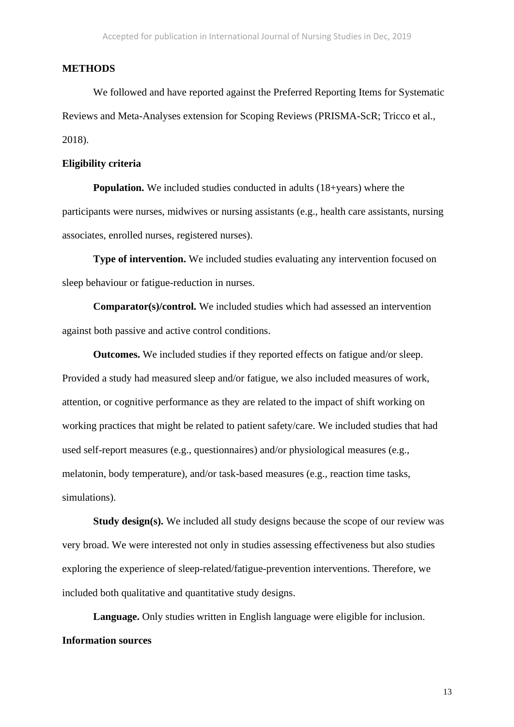#### **METHODS**

We followed and have reported against the Preferred Reporting Items for Systematic Reviews and Meta-Analyses extension for Scoping Reviews (PRISMA-ScR; Tricco et al., 2018).

### **Eligibility criteria**

**Population.** We included studies conducted in adults (18+years) where the participants were nurses, midwives or nursing assistants (e.g., health care assistants, nursing associates, enrolled nurses, registered nurses).

**Type of intervention.** We included studies evaluating any intervention focused on sleep behaviour or fatigue-reduction in nurses.

**Comparator(s)/control.** We included studies which had assessed an intervention against both passive and active control conditions.

**Outcomes.** We included studies if they reported effects on fatigue and/or sleep. Provided a study had measured sleep and/or fatigue, we also included measures of work, attention, or cognitive performance as they are related to the impact of shift working on working practices that might be related to patient safety/care. We included studies that had used self-report measures (e.g., questionnaires) and/or physiological measures (e.g., melatonin, body temperature), and/or task-based measures (e.g., reaction time tasks, simulations).

**Study design(s).** We included all study designs because the scope of our review was very broad. We were interested not only in studies assessing effectiveness but also studies exploring the experience of sleep-related/fatigue-prevention interventions. Therefore, we included both qualitative and quantitative study designs.

**Language.** Only studies written in English language were eligible for inclusion. **Information sources**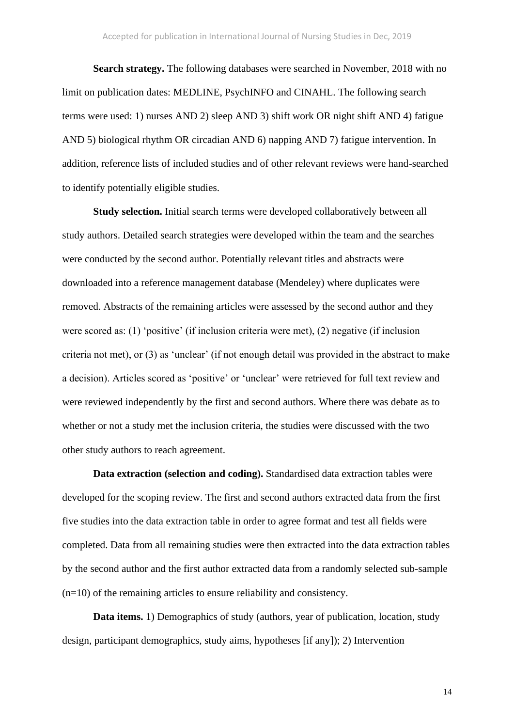**Search strategy.** The following databases were searched in November, 2018 with no limit on publication dates: MEDLINE, PsychINFO and CINAHL. The following search terms were used: 1) nurses AND 2) sleep AND 3) shift work OR night shift AND 4) fatigue AND 5) biological rhythm OR circadian AND 6) napping AND 7) fatigue intervention. In addition, reference lists of included studies and of other relevant reviews were hand-searched to identify potentially eligible studies.

**Study selection.** Initial search terms were developed collaboratively between all study authors. Detailed search strategies were developed within the team and the searches were conducted by the second author. Potentially relevant titles and abstracts were downloaded into a reference management database (Mendeley) where duplicates were removed. Abstracts of the remaining articles were assessed by the second author and they were scored as: (1) 'positive' (if inclusion criteria were met), (2) negative (if inclusion criteria not met), or (3) as 'unclear' (if not enough detail was provided in the abstract to make a decision). Articles scored as 'positive' or 'unclear' were retrieved for full text review and were reviewed independently by the first and second authors. Where there was debate as to whether or not a study met the inclusion criteria, the studies were discussed with the two other study authors to reach agreement.

**Data extraction (selection and coding).** Standardised data extraction tables were developed for the scoping review. The first and second authors extracted data from the first five studies into the data extraction table in order to agree format and test all fields were completed. Data from all remaining studies were then extracted into the data extraction tables by the second author and the first author extracted data from a randomly selected sub-sample (n=10) of the remaining articles to ensure reliability and consistency.

**Data items.** 1) Demographics of study (authors, year of publication, location, study design, participant demographics, study aims, hypotheses [if any]); 2) Intervention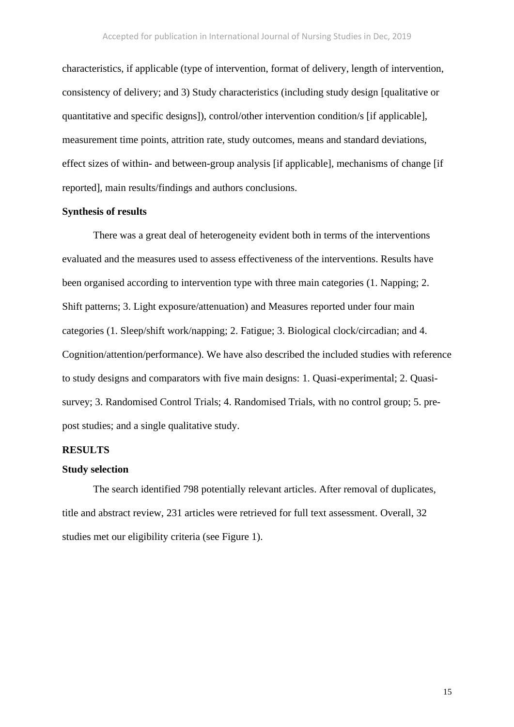characteristics, if applicable (type of intervention, format of delivery, length of intervention, consistency of delivery; and 3) Study characteristics (including study design [qualitative or quantitative and specific designs]), control/other intervention condition/s [if applicable], measurement time points, attrition rate, study outcomes, means and standard deviations, effect sizes of within- and between-group analysis [if applicable], mechanisms of change [if reported], main results/findings and authors conclusions.

### **Synthesis of results**

There was a great deal of heterogeneity evident both in terms of the interventions evaluated and the measures used to assess effectiveness of the interventions. Results have been organised according to intervention type with three main categories (1. Napping; 2. Shift patterns; 3. Light exposure/attenuation) and Measures reported under four main categories (1. Sleep/shift work/napping; 2. Fatigue; 3. Biological clock/circadian; and 4. Cognition/attention/performance). We have also described the included studies with reference to study designs and comparators with five main designs: 1. Quasi-experimental; 2. Quasisurvey; 3. Randomised Control Trials; 4. Randomised Trials, with no control group; 5. prepost studies; and a single qualitative study.

### **RESULTS**

#### **Study selection**

The search identified 798 potentially relevant articles. After removal of duplicates, title and abstract review, 231 articles were retrieved for full text assessment. Overall, 32 studies met our eligibility criteria (see Figure 1).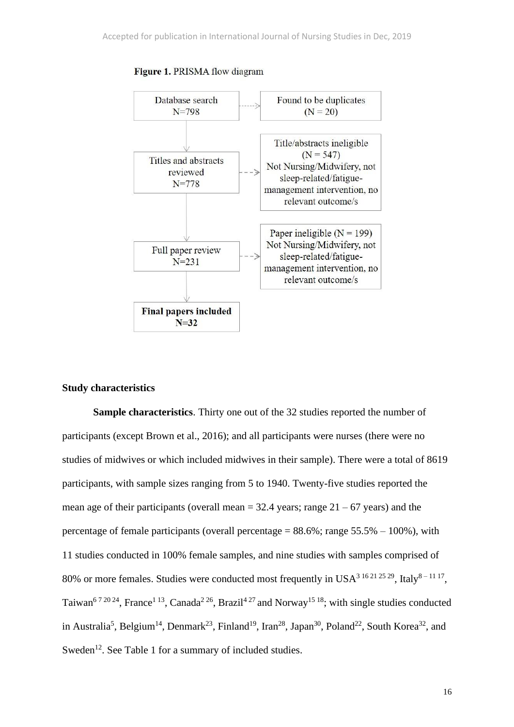

Figure 1. PRISMA flow diagram

### **Study characteristics**

**Sample characteristics**. Thirty one out of the 32 studies reported the number of participants (except Brown et al., 2016); and all participants were nurses (there were no studies of midwives or which included midwives in their sample). There were a total of 8619 participants, with sample sizes ranging from 5 to 1940. Twenty-five studies reported the mean age of their participants (overall mean  $= 32.4$  years; range  $21 - 67$  years) and the percentage of female participants (overall percentage  $= 88.6\%$ ; range  $55.5\% - 100\%$ ), with 11 studies conducted in 100% female samples, and nine studies with samples comprised of 80% or more females. Studies were conducted most frequently in USA<sup>3 16 21 25 29</sup>, Italy<sup>8 – 11 17</sup>, Taiwan<sup>6 7 20 24</sup>, France<sup>1 13</sup>, Canada<sup>2 26</sup>, Brazil<sup>4 27</sup> and Norway<sup>15 18</sup>; with single studies conducted in Australia<sup>5</sup>, Belgium<sup>14</sup>, Denmark<sup>23</sup>, Finland<sup>19</sup>, Iran<sup>28</sup>, Japan<sup>30</sup>, Poland<sup>22</sup>, South Korea<sup>32</sup>, and Sweden<sup>12</sup>. See Table 1 for a summary of included studies.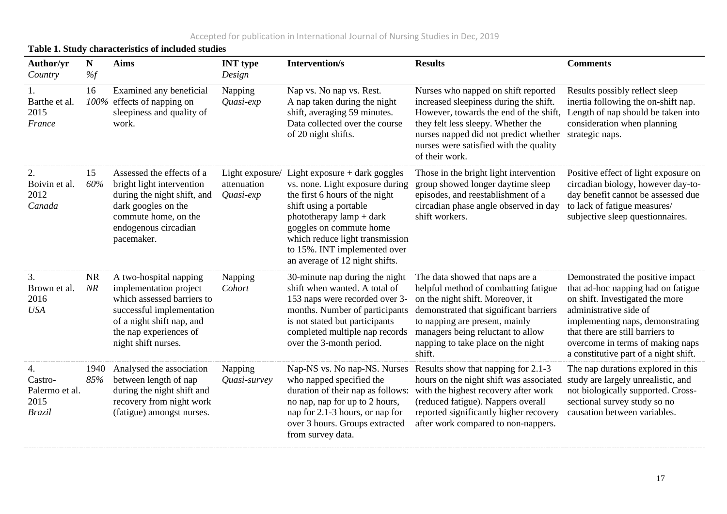| Author/yr<br>Country                                     | N<br>% f        | <b>Aims</b>                                                                                                                                                                               | <b>INT</b> type<br>Design                   | <b>Intervention/s</b>                                                                                                                                                                                                                                                                        | <b>Results</b>                                                                                                                                                                                                                                                               | <b>Comments</b>                                                                                                                                                                                                                                                                          |
|----------------------------------------------------------|-----------------|-------------------------------------------------------------------------------------------------------------------------------------------------------------------------------------------|---------------------------------------------|----------------------------------------------------------------------------------------------------------------------------------------------------------------------------------------------------------------------------------------------------------------------------------------------|------------------------------------------------------------------------------------------------------------------------------------------------------------------------------------------------------------------------------------------------------------------------------|------------------------------------------------------------------------------------------------------------------------------------------------------------------------------------------------------------------------------------------------------------------------------------------|
| 1.<br>Barthe et al.<br>2015<br>France                    | 16<br>100%      | Examined any beneficial<br>effects of napping on<br>sleepiness and quality of<br>work.                                                                                                    | Napping<br>Quasi-exp                        | Nap vs. No nap vs. Rest.<br>A nap taken during the night<br>shift, averaging 59 minutes.<br>Data collected over the course<br>of 20 night shifts.                                                                                                                                            | Nurses who napped on shift reported<br>increased sleepiness during the shift.<br>However, towards the end of the shift,<br>they felt less sleepy. Whether the<br>nurses napped did not predict whether<br>nurses were satisfied with the quality<br>of their work.           | Results possibly reflect sleep<br>inertia following the on-shift nap.<br>Length of nap should be taken into<br>consideration when planning<br>strategic naps.                                                                                                                            |
| 2.<br>Boivin et al.<br>2012<br>Canada                    | 15<br>60%       | Assessed the effects of a<br>bright light intervention<br>during the night shift, and<br>dark googles on the<br>commute home, on the<br>endogenous circadian<br>pacemaker.                | Light exposure/<br>attenuation<br>Quasi-exp | Light exposure $+$ dark goggles<br>vs. none. Light exposure during<br>the first 6 hours of the night<br>shift using a portable<br>$phototherapy$ lamp + dark<br>goggles on commute home<br>which reduce light transmission<br>to 15%. INT implemented over<br>an average of 12 night shifts. | Those in the bright light intervention<br>group showed longer daytime sleep<br>episodes, and reestablishment of a<br>circadian phase angle observed in day<br>shift workers.                                                                                                 | Positive effect of light exposure on<br>circadian biology, however day-to-<br>day benefit cannot be assessed due<br>to lack of fatigue measures/<br>subjective sleep questionnaires.                                                                                                     |
| 3.<br>Brown et al.<br>2016<br><b>USA</b>                 | <b>NR</b><br>NR | A two-hospital napping<br>implementation project<br>which assessed barriers to<br>successful implementation<br>of a night shift nap, and<br>the nap experiences of<br>night shift nurses. | Napping<br>Cohort                           | 30-minute nap during the night<br>shift when wanted. A total of<br>153 naps were recorded over 3-<br>months. Number of participants<br>is not stated but participants<br>completed multiple nap records<br>over the 3-month period.                                                          | The data showed that naps are a<br>helpful method of combatting fatigue<br>on the night shift. Moreover, it<br>demonstrated that significant barriers<br>to napping are present, mainly<br>managers being reluctant to allow<br>napping to take place on the night<br>shift. | Demonstrated the positive impact<br>that ad-hoc napping had on fatigue<br>on shift. Investigated the more<br>administrative side of<br>implementing naps, demonstrating<br>that there are still barriers to<br>overcome in terms of making naps<br>a constitutive part of a night shift. |
| 4.<br>Castro-<br>Palermo et al.<br>2015<br><b>Brazil</b> | 1940<br>85%     | Analysed the association<br>between length of nap<br>during the night shift and<br>recovery from night work<br>(fatigue) amongst nurses.                                                  | Napping<br>Quasi-survey                     | Nap-NS vs. No nap-NS. Nurses<br>who napped specified the<br>duration of their nap as follows:<br>no nap, nap for up to 2 hours,<br>nap for 2.1-3 hours, or nap for<br>over 3 hours. Groups extracted<br>from survey data.                                                                    | Results show that napping for 2.1-3<br>hours on the night shift was associated<br>with the highest recovery after work<br>(reduced fatigue). Nappers overall<br>reported significantly higher recovery<br>after work compared to non-nappers.                                | The nap durations explored in this<br>study are largely unrealistic, and<br>not biologically supported. Cross-<br>sectional survey study so no<br>causation between variables.                                                                                                           |

**Table 1. Study characteristics of included studies**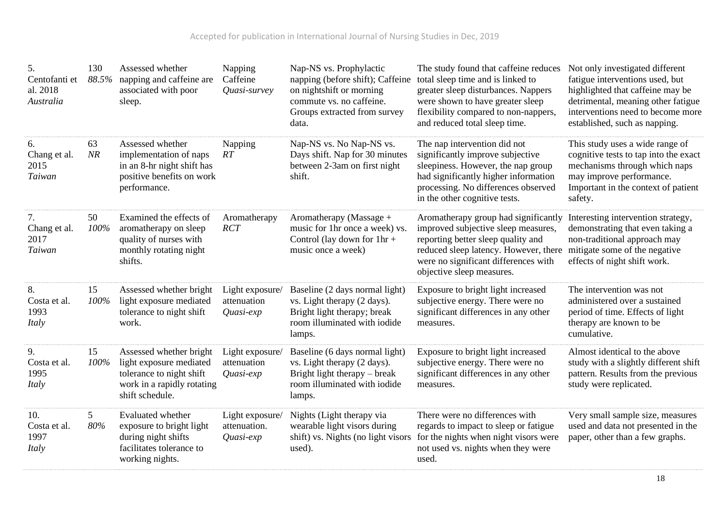| 5.<br>Centofanti et<br>al. 2018<br>Australia | 130<br>88.5%          | Assessed whether<br>napping and caffeine are<br>associated with poor<br>sleep.                                                  | Napping<br>Caffeine<br>Quasi-survey          | Nap-NS vs. Prophylactic<br>napping (before shift); Caffeine<br>on nightshift or morning<br>commute vs. no caffeine.<br>Groups extracted from survey<br>data. | The study found that caffeine reduces<br>total sleep time and is linked to<br>greater sleep disturbances. Nappers<br>were shown to have greater sleep<br>flexibility compared to non-nappers,<br>and reduced total sleep time.  | Not only investigated different<br>fatigue interventions used, but<br>highlighted that caffeine may be<br>detrimental, meaning other fatigue<br>interventions need to become more<br>established, such as napping. |
|----------------------------------------------|-----------------------|---------------------------------------------------------------------------------------------------------------------------------|----------------------------------------------|--------------------------------------------------------------------------------------------------------------------------------------------------------------|---------------------------------------------------------------------------------------------------------------------------------------------------------------------------------------------------------------------------------|--------------------------------------------------------------------------------------------------------------------------------------------------------------------------------------------------------------------|
| 6.<br>Chang et al.<br>2015<br>Taiwan         | 63<br>NR              | Assessed whether<br>implementation of naps<br>in an 8-hr night shift has<br>positive benefits on work<br>performance.           | Napping<br>RT                                | Nap-NS vs. No Nap-NS vs.<br>Days shift. Nap for 30 minutes<br>between 2-3am on first night<br>shift.                                                         | The nap intervention did not<br>significantly improve subjective<br>sleepiness. However, the nap group<br>had significantly higher information<br>processing. No differences observed<br>in the other cognitive tests.          | This study uses a wide range of<br>cognitive tests to tap into the exact<br>mechanisms through which naps<br>may improve performance.<br>Important in the context of patient<br>safety.                            |
| 7.<br>Chang et al.<br>2017<br>Taiwan         | 50<br>100%            | Examined the effects of<br>aromatherapy on sleep<br>quality of nurses with<br>monthly rotating night<br>shifts.                 | Aromatherapy<br>RCT                          | Aromatherapy (Massage +<br>music for 1hr once a week) vs.<br>Control (lay down for $1hr +$<br>music once a week)                                             | Aromatherapy group had significantly<br>improved subjective sleep measures,<br>reporting better sleep quality and<br>reduced sleep latency. However, there<br>were no significant differences with<br>objective sleep measures. | Interesting intervention strategy,<br>demonstrating that even taking a<br>non-traditional approach may<br>mitigate some of the negative<br>effects of night shift work.                                            |
| 8.<br>Costa et al.<br>1993<br><i>Italy</i>   | 15<br>100%            | Assessed whether bright<br>light exposure mediated<br>tolerance to night shift<br>work.                                         | Light exposure/<br>attenuation<br>Quasi-exp  | Baseline (2 days normal light)<br>vs. Light therapy (2 days).<br>Bright light therapy; break<br>room illuminated with iodide<br>lamps.                       | Exposure to bright light increased<br>subjective energy. There were no<br>significant differences in any other<br>measures.                                                                                                     | The intervention was not<br>administered over a sustained<br>period of time. Effects of light<br>therapy are known to be<br>cumulative.                                                                            |
| 9.<br>Costa et al.<br>1995<br>Italy          | 15<br>100%            | Assessed whether bright<br>light exposure mediated<br>tolerance to night shift<br>work in a rapidly rotating<br>shift schedule. | Light exposure/<br>attenuation<br>Quasi-exp  | Baseline (6 days normal light)<br>vs. Light therapy (2 days).<br>Bright light therapy - break<br>room illuminated with iodide<br>lamps.                      | Exposure to bright light increased<br>subjective energy. There were no<br>significant differences in any other<br>measures.                                                                                                     | Almost identical to the above<br>study with a slightly different shift<br>pattern. Results from the previous<br>study were replicated.                                                                             |
| 10.<br>Costa et al.<br>1997<br><i>Italy</i>  | 5 <sup>5</sup><br>80% | <b>Evaluated whether</b><br>exposure to bright light<br>during night shifts<br>facilitates tolerance to<br>working nights.      | Light exposure/<br>attenuation.<br>Quasi-exp | Nights (Light therapy via<br>wearable light visors during<br>shift) vs. Nights (no light visors<br>used).                                                    | There were no differences with<br>regards to impact to sleep or fatigue<br>for the nights when night visors were<br>not used vs. nights when they were<br>used.                                                                 | Very small sample size, measures<br>used and data not presented in the<br>paper, other than a few graphs.                                                                                                          |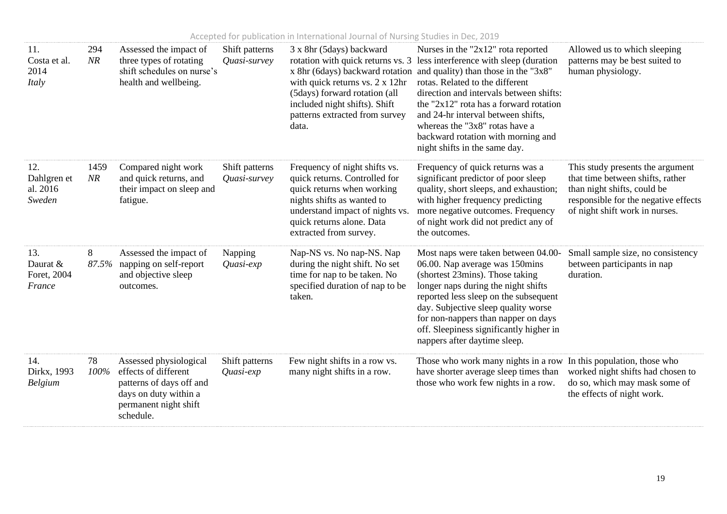| Accepted for publication in International Journal of Nursing Studies in Dec, 2019 |  |  |  |
|-----------------------------------------------------------------------------------|--|--|--|
|-----------------------------------------------------------------------------------|--|--|--|

| 11.<br>Costa et al.<br>2014<br>Italy       | 294<br>NR  | Assessed the impact of<br>three types of rotating<br>shift schedules on nurse's<br>health and wellbeing.                                  | Shift patterns<br>Quasi-survey | 3 x 8hr (5days) backward<br>rotation with quick returns vs. 3<br>with quick returns vs. 2 x 12hr<br>(5days) forward rotation (all<br>included night shifts). Shift<br>patterns extracted from survey<br>data.        | Nurses in the "2x12" rota reported<br>less interference with sleep (duration<br>x 8hr (6days) backward rotation and quality) than those in the "3x8"<br>rotas. Related to the different<br>direction and intervals between shifts:<br>the " $2x12$ " rota has a forward rotation<br>and 24-hr interval between shifts,<br>whereas the "3x8" rotas have a<br>backward rotation with morning and<br>night shifts in the same day. | Allowed us to which sleeping<br>patterns may be best suited to<br>human physiology.                                                                                           |
|--------------------------------------------|------------|-------------------------------------------------------------------------------------------------------------------------------------------|--------------------------------|----------------------------------------------------------------------------------------------------------------------------------------------------------------------------------------------------------------------|---------------------------------------------------------------------------------------------------------------------------------------------------------------------------------------------------------------------------------------------------------------------------------------------------------------------------------------------------------------------------------------------------------------------------------|-------------------------------------------------------------------------------------------------------------------------------------------------------------------------------|
| 12.<br>Dahlgren et<br>al. 2016<br>Sweden   | 1459<br>NR | Compared night work<br>and quick returns, and<br>their impact on sleep and<br>fatigue.                                                    | Shift patterns<br>Quasi-survey | Frequency of night shifts vs.<br>quick returns. Controlled for<br>quick returns when working<br>nights shifts as wanted to<br>understand impact of nights vs.<br>quick returns alone. Data<br>extracted from survey. | Frequency of quick returns was a<br>significant predictor of poor sleep<br>quality, short sleeps, and exhaustion;<br>with higher frequency predicting<br>more negative outcomes. Frequency<br>of night work did not predict any of<br>the outcomes.                                                                                                                                                                             | This study presents the argument<br>that time between shifts, rather<br>than night shifts, could be<br>responsible for the negative effects<br>of night shift work in nurses. |
| 13.<br>Daurat $&$<br>Foret, 2004<br>France | 8<br>87.5% | Assessed the impact of<br>napping on self-report<br>and objective sleep<br>outcomes.                                                      | Napping<br>Quasi-exp           | Nap-NS vs. No nap-NS. Nap<br>during the night shift. No set<br>time for nap to be taken. No<br>specified duration of nap to be<br>taken.                                                                             | Most naps were taken between 04.00-<br>06.00. Nap average was 150mins<br>(shortest 23mins). Those taking<br>longer naps during the night shifts<br>reported less sleep on the subsequent<br>day. Subjective sleep quality worse<br>for non-nappers than napper on days<br>off. Sleepiness significantly higher in<br>nappers after daytime sleep.                                                                               | Small sample size, no consistency<br>between participants in nap<br>duration.                                                                                                 |
| 14.<br>Dirkx, 1993<br>Belgium              | 78<br>100% | Assessed physiological<br>effects of different<br>patterns of days off and<br>days on duty within a<br>permanent night shift<br>schedule. | Shift patterns<br>Quasi-exp    | Few night shifts in a row vs.<br>many night shifts in a row.                                                                                                                                                         | Those who work many nights in a row<br>have shorter average sleep times than<br>those who work few nights in a row.                                                                                                                                                                                                                                                                                                             | In this population, those who<br>worked night shifts had chosen to<br>do so, which may mask some of<br>the effects of night work.                                             |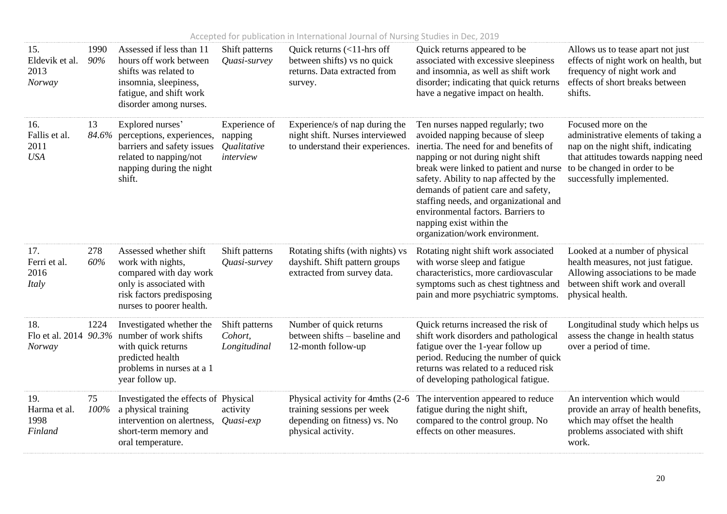| 15.<br>Eldevik et al.<br>2013<br><b>Norway</b> | 1990<br>90% | Assessed if less than 11<br>hours off work between<br>shifts was related to<br>insomnia, sleepiness,<br>fatigue, and shift work<br>disorder among nurses. | Shift patterns<br>Quasi-survey                       | Quick returns $\left($ < 11 - hrs of f<br>between shifts) vs no quick<br>returns. Data extracted from<br>survey.      | Quick returns appeared to be<br>associated with excessive sleepiness<br>and insomnia, as well as shift work<br>disorder; indicating that quick returns<br>have a negative impact on health.                                                                                                                                                                                                                                 | Allows us to tease apart not just<br>effects of night work on health, but<br>frequency of night work and<br>effects of short breaks between<br>shifts.                                               |
|------------------------------------------------|-------------|-----------------------------------------------------------------------------------------------------------------------------------------------------------|------------------------------------------------------|-----------------------------------------------------------------------------------------------------------------------|-----------------------------------------------------------------------------------------------------------------------------------------------------------------------------------------------------------------------------------------------------------------------------------------------------------------------------------------------------------------------------------------------------------------------------|------------------------------------------------------------------------------------------------------------------------------------------------------------------------------------------------------|
| 16.<br>Fallis et al.<br>2011<br><b>USA</b>     | 13          | Explored nurses'<br>84.6% perceptions, experiences,<br>barriers and safety issues<br>related to napping/not<br>napping during the night<br>shift.         | Experience of<br>napping<br>Qualitative<br>interview | Experience/s of nap during the<br>night shift. Nurses interviewed<br>to understand their experiences.                 | Ten nurses napped regularly; two<br>avoided napping because of sleep<br>inertia. The need for and benefits of<br>napping or not during night shift<br>break were linked to patient and nurse<br>safety. Ability to nap affected by the<br>demands of patient care and safety,<br>staffing needs, and organizational and<br>environmental factors. Barriers to<br>napping exist within the<br>organization/work environment. | Focused more on the<br>administrative elements of taking a<br>nap on the night shift, indicating<br>that attitudes towards napping need<br>to be changed in order to be<br>successfully implemented. |
| 17.<br>Ferri et al.<br>2016<br><i>Italy</i>    | 278<br>60%  | Assessed whether shift<br>work with nights,<br>compared with day work<br>only is associated with<br>risk factors predisposing<br>nurses to poorer health. | Shift patterns<br>Quasi-survey                       | Rotating shifts (with nights) vs<br>dayshift. Shift pattern groups<br>extracted from survey data.                     | Rotating night shift work associated<br>with worse sleep and fatigue<br>characteristics, more cardiovascular<br>symptoms such as chest tightness and<br>pain and more psychiatric symptoms.                                                                                                                                                                                                                                 | Looked at a number of physical<br>health measures, not just fatigue.<br>Allowing associations to be made<br>between shift work and overall<br>physical health.                                       |
| 18.<br>Flo et al. 2014 90.3%<br><b>Norway</b>  | 1224        | Investigated whether the<br>number of work shifts<br>with quick returns<br>predicted health<br>problems in nurses at a 1<br>year follow up.               | Shift patterns<br>Cohort,<br>Longitudinal            | Number of quick returns<br>between shifts – baseline and<br>12-month follow-up                                        | Quick returns increased the risk of<br>shift work disorders and pathological<br>fatigue over the 1-year follow up<br>period. Reducing the number of quick<br>returns was related to a reduced risk<br>of developing pathological fatigue.                                                                                                                                                                                   | Longitudinal study which helps us<br>assess the change in health status<br>over a period of time.                                                                                                    |
| 19.<br>Harma et al.<br>1998<br>Finland         | 75<br>100%  | Investigated the effects of Physical<br>a physical training<br>intervention on alertness,<br>short-term memory and<br>oral temperature.                   | activity<br>Quasi-exp                                | Physical activity for 4mths (2-6)<br>training sessions per week<br>depending on fitness) vs. No<br>physical activity. | The intervention appeared to reduce<br>fatigue during the night shift,<br>compared to the control group. No<br>effects on other measures.                                                                                                                                                                                                                                                                                   | An intervention which would<br>provide an array of health benefits,<br>which may offset the health<br>problems associated with shift<br>work.                                                        |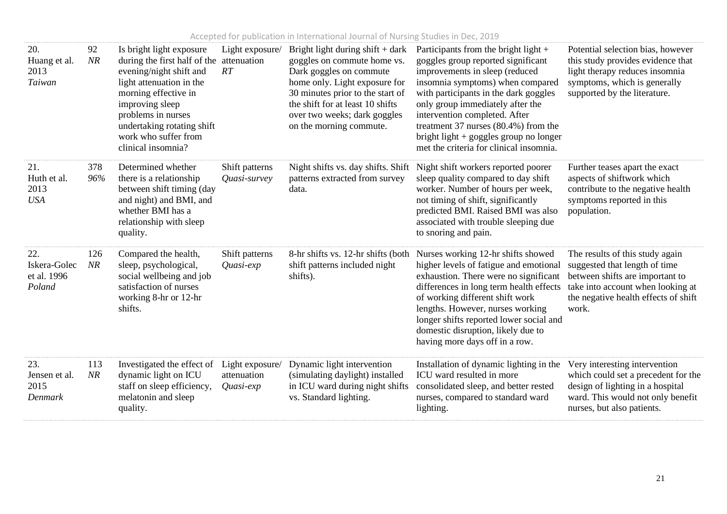|  |  | Accepted for publication in International Journal of Nursing Studies in Dec, 2019 |
|--|--|-----------------------------------------------------------------------------------|
|--|--|-----------------------------------------------------------------------------------|

| 20.<br>Huang et al.<br>2013<br>Taiwan        | 92<br>NR   | Is bright light exposure<br>during the first half of the<br>evening/night shift and<br>light attenuation in the<br>morning effective in<br>improving sleep<br>problems in nurses<br>undertaking rotating shift<br>work who suffer from<br>clinical insomnia? | Light exposure/<br>attenuation<br>RT        | Bright light during $shift + dark$<br>goggles on commute home vs.<br>Dark goggles on commute<br>home only. Light exposure for<br>30 minutes prior to the start of<br>the shift for at least 10 shifts<br>over two weeks; dark goggles<br>on the morning commute. | Participants from the bright light $+$<br>goggles group reported significant<br>improvements in sleep (reduced<br>insomnia symptoms) when compared<br>with participants in the dark goggles<br>only group immediately after the<br>intervention completed. After<br>treatment 37 nurses (80.4%) from the<br>bright light $+$ goggles group no longer<br>met the criteria for clinical insomnia. | Potential selection bias, however<br>this study provides evidence that<br>light therapy reduces insomnia<br>symptoms, which is generally<br>supported by the literature.                  |
|----------------------------------------------|------------|--------------------------------------------------------------------------------------------------------------------------------------------------------------------------------------------------------------------------------------------------------------|---------------------------------------------|------------------------------------------------------------------------------------------------------------------------------------------------------------------------------------------------------------------------------------------------------------------|-------------------------------------------------------------------------------------------------------------------------------------------------------------------------------------------------------------------------------------------------------------------------------------------------------------------------------------------------------------------------------------------------|-------------------------------------------------------------------------------------------------------------------------------------------------------------------------------------------|
| 21.<br>Huth et al.<br>2013<br><b>USA</b>     | 378<br>96% | Determined whether<br>there is a relationship<br>between shift timing (day<br>and night) and BMI, and<br>whether BMI has a<br>relationship with sleep<br>quality.                                                                                            | Shift patterns<br>Quasi-survey              | Night shifts vs. day shifts. Shift<br>patterns extracted from survey<br>data.                                                                                                                                                                                    | Night shift workers reported poorer<br>sleep quality compared to day shift<br>worker. Number of hours per week,<br>not timing of shift, significantly<br>predicted BMI. Raised BMI was also<br>associated with trouble sleeping due<br>to snoring and pain.                                                                                                                                     | Further teases apart the exact<br>aspects of shiftwork which<br>contribute to the negative health<br>symptoms reported in this<br>population.                                             |
| 22.<br>Iskera-Golec<br>et al. 1996<br>Poland | 126<br>NR  | Compared the health,<br>sleep, psychological,<br>social wellbeing and job<br>satisfaction of nurses<br>working 8-hr or 12-hr<br>shifts.                                                                                                                      | Shift patterns<br>Quasi-exp                 | 8-hr shifts vs. 12-hr shifts (both<br>shift patterns included night<br>shifts).                                                                                                                                                                                  | Nurses working 12-hr shifts showed<br>higher levels of fatigue and emotional<br>exhaustion. There were no significant<br>differences in long term health effects<br>of working different shift work<br>lengths. However, nurses working<br>longer shifts reported lower social and<br>domestic disruption, likely due to<br>having more days off in a row.                                      | The results of this study again<br>suggested that length of time<br>between shifts are important to<br>take into account when looking at<br>the negative health effects of shift<br>work. |
| 23.<br>Jensen et al.<br>2015<br>Denmark      | 113<br>NR  | Investigated the effect of<br>dynamic light on ICU<br>staff on sleep efficiency,<br>melatonin and sleep<br>quality.                                                                                                                                          | Light exposure/<br>attenuation<br>Quasi-exp | Dynamic light intervention<br>(simulating daylight) installed<br>in ICU ward during night shifts<br>vs. Standard lighting.                                                                                                                                       | Installation of dynamic lighting in the<br>ICU ward resulted in more<br>consolidated sleep, and better rested<br>nurses, compared to standard ward<br>lighting.                                                                                                                                                                                                                                 | Very interesting intervention<br>which could set a precedent for the<br>design of lighting in a hospital<br>ward. This would not only benefit<br>nurses, but also patients.               |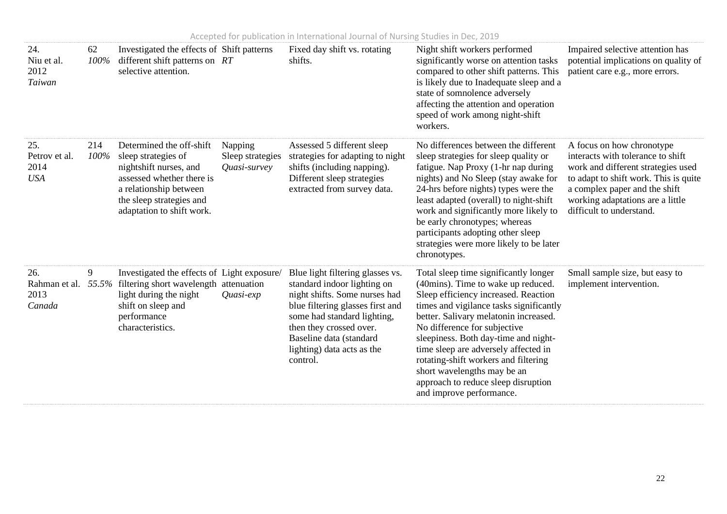| 24.<br>Niu et al.<br>2012<br>Taiwan        | 62<br>100%  | Investigated the effects of Shift patterns<br>different shift patterns on RT<br>selective attention.                                                                                      |                                             | Fixed day shift vs. rotating<br>shifts.                                                                                                                                                                                                                             | Night shift workers performed<br>significantly worse on attention tasks<br>compared to other shift patterns. This<br>is likely due to Inadequate sleep and a<br>state of somnolence adversely<br>affecting the attention and operation<br>speed of work among night-shift<br>workers.                                                                                                                                                                             | Impaired selective attention has<br>potential implications on quality of<br>patient care e.g., more errors.                                                                                                                                    |
|--------------------------------------------|-------------|-------------------------------------------------------------------------------------------------------------------------------------------------------------------------------------------|---------------------------------------------|---------------------------------------------------------------------------------------------------------------------------------------------------------------------------------------------------------------------------------------------------------------------|-------------------------------------------------------------------------------------------------------------------------------------------------------------------------------------------------------------------------------------------------------------------------------------------------------------------------------------------------------------------------------------------------------------------------------------------------------------------|------------------------------------------------------------------------------------------------------------------------------------------------------------------------------------------------------------------------------------------------|
| 25.<br>Petrov et al.<br>2014<br><b>USA</b> | 214<br>100% | Determined the off-shift<br>sleep strategies of<br>nightshift nurses, and<br>assessed whether there is<br>a relationship between<br>the sleep strategies and<br>adaptation to shift work. | Napping<br>Sleep strategies<br>Quasi-survey | Assessed 5 different sleep<br>strategies for adapting to night<br>shifts (including napping).<br>Different sleep strategies<br>extracted from survey data.                                                                                                          | No differences between the different<br>sleep strategies for sleep quality or<br>fatigue. Nap Proxy (1-hr nap during<br>nights) and No Sleep (stay awake for<br>24-hrs before nights) types were the<br>least adapted (overall) to night-shift<br>work and significantly more likely to<br>be early chronotypes; whereas<br>participants adopting other sleep<br>strategies were more likely to be later<br>chronotypes.                                          | A focus on how chronotype<br>interacts with tolerance to shift<br>work and different strategies used<br>to adapt to shift work. This is quite<br>a complex paper and the shift<br>working adaptations are a little<br>difficult to understand. |
| 26.<br>Rahman et al.<br>2013<br>Canada     | 9<br>55.5%  | Investigated the effects of Light exposure/<br>filtering short wavelength<br>light during the night<br>shift on sleep and<br>performance<br>characteristics.                              | attenuation<br>Quasi-exp                    | Blue light filtering glasses vs.<br>standard indoor lighting on<br>night shifts. Some nurses had<br>blue filtering glasses first and<br>some had standard lighting,<br>then they crossed over.<br>Baseline data (standard<br>lighting) data acts as the<br>control. | Total sleep time significantly longer<br>(40mins). Time to wake up reduced.<br>Sleep efficiency increased. Reaction<br>times and vigilance tasks significantly<br>better. Salivary melatonin increased.<br>No difference for subjective<br>sleepiness. Both day-time and night-<br>time sleep are adversely affected in<br>rotating-shift workers and filtering<br>short wavelengths may be an<br>approach to reduce sleep disruption<br>and improve performance. | Small sample size, but easy to<br>implement intervention.                                                                                                                                                                                      |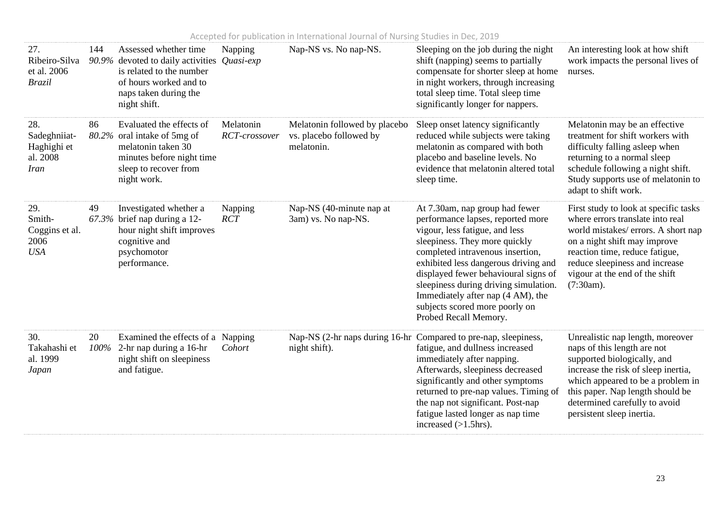| 27.<br>Ribeiro-Silva<br>et al. 2006<br><b>Brazil</b>          | 144        | Assessed whether time<br>90.9% devoted to daily activities<br>is related to the number<br>of hours worked and to<br>naps taken during the<br>night shift. | Napping<br>Quasi-exp       | Nap-NS vs. No nap-NS.                                                  | Sleeping on the job during the night<br>shift (napping) seems to partially<br>compensate for shorter sleep at home<br>in night workers, through increasing<br>total sleep time. Total sleep time<br>significantly longer for nappers.                                                                                                                                                               | An interesting look at how shift<br>work impacts the personal lives of<br>nurses.                                                                                                                                                                                            |
|---------------------------------------------------------------|------------|-----------------------------------------------------------------------------------------------------------------------------------------------------------|----------------------------|------------------------------------------------------------------------|-----------------------------------------------------------------------------------------------------------------------------------------------------------------------------------------------------------------------------------------------------------------------------------------------------------------------------------------------------------------------------------------------------|------------------------------------------------------------------------------------------------------------------------------------------------------------------------------------------------------------------------------------------------------------------------------|
| 28.<br>Sadeghniiat-<br>Haghighi et<br>al. 2008<br><i>Iran</i> | 86         | Evaluated the effects of<br>80.2% oral intake of 5mg of<br>melatonin taken 30<br>minutes before night time<br>sleep to recover from<br>night work.        | Melatonin<br>RCT-crossover | Melatonin followed by placebo<br>vs. placebo followed by<br>melatonin. | Sleep onset latency significantly<br>reduced while subjects were taking<br>melatonin as compared with both<br>placebo and baseline levels. No<br>evidence that melatonin altered total<br>sleep time.                                                                                                                                                                                               | Melatonin may be an effective<br>treatment for shift workers with<br>difficulty falling asleep when<br>returning to a normal sleep<br>schedule following a night shift.<br>Study supports use of melatonin to<br>adapt to shift work.                                        |
| 29.<br>Smith-<br>Coggins et al.<br>2006<br><b>USA</b>         | 49         | Investigated whether a<br>$67.3\%$ brief nap during a 12-<br>hour night shift improves<br>cognitive and<br>psychomotor<br>performance.                    | Napping<br><b>RCT</b>      | Nap-NS (40-minute nap at<br>3am) vs. No nap-NS.                        | At 7.30am, nap group had fewer<br>performance lapses, reported more<br>vigour, less fatigue, and less<br>sleepiness. They more quickly<br>completed intravenous insertion,<br>exhibited less dangerous driving and<br>displayed fewer behavioural signs of<br>sleepiness during driving simulation.<br>Immediately after nap (4 AM), the<br>subjects scored more poorly on<br>Probed Recall Memory. | First study to look at specific tasks<br>where errors translate into real<br>world mistakes/ errors. A short nap<br>on a night shift may improve<br>reaction time, reduce fatigue,<br>reduce sleepiness and increase<br>vigour at the end of the shift<br>$(7:30am)$ .       |
| 30.<br>Takahashi et<br>al. 1999<br>Japan                      | 20<br>100% | Examined the effects of a Napping<br>2-hr nap during a 16-hr<br>night shift on sleepiness<br>and fatigue.                                                 | Cohort                     | night shift).                                                          | Nap-NS (2-hr naps during 16-hr Compared to pre-nap, sleepiness,<br>fatigue, and dullness increased<br>immediately after napping.<br>Afterwards, sleepiness decreased<br>significantly and other symptoms<br>returned to pre-nap values. Timing of<br>the nap not significant. Post-nap<br>fatigue lasted longer as nap time<br>increased $(>1.5hrs)$ .                                              | Unrealistic nap length, moreover<br>naps of this length are not<br>supported biologically, and<br>increase the risk of sleep inertia,<br>which appeared to be a problem in<br>this paper. Nap length should be<br>determined carefully to avoid<br>persistent sleep inertia. |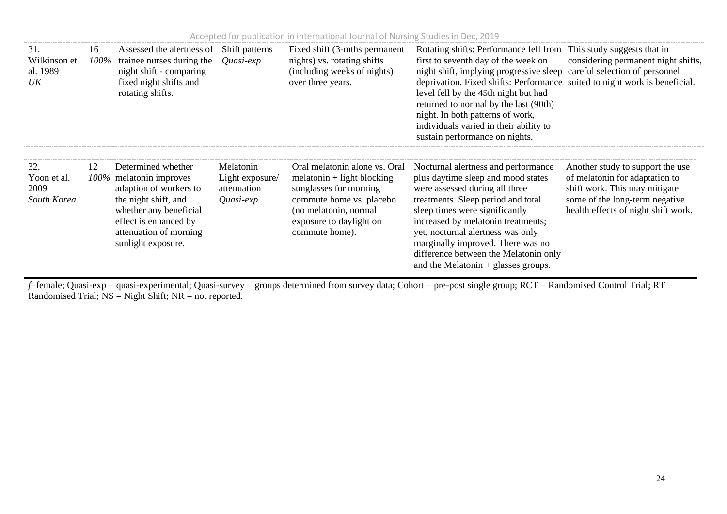| Accepted for publication in International Journal of Nursing Studies in Dec, 2019 |  |  |  |
|-----------------------------------------------------------------------------------|--|--|--|
|-----------------------------------------------------------------------------------|--|--|--|

| 31.<br>Wilkinson et<br>al. 1989<br>UK     | 16<br>100% | Assessed the alertness of<br>trainee nurses during the<br>night shift - comparing<br>fixed night shifts and<br>rotating shifts.                                                                    | Shift patterns<br>$Quasi-exp$                              | Fixed shift (3-mths permanent<br>nights) vs. rotating shifts<br>(including weeks of nights)<br>over three years.                                                                          | Rotating shifts: Performance fell from<br>first to seventh day of the week on<br>night shift, implying progressive sleep careful selection of personnel<br>deprivation. Fixed shifts: Performance suited to night work is beneficial.<br>level fell by the 45th night but had<br>returned to normal by the last (90th)<br>night. In both patterns of work,<br>individuals varied in their ability to<br>sustain performance on nights. | This study suggests that in<br>considering permanent night shifts,                                                                                                           |
|-------------------------------------------|------------|----------------------------------------------------------------------------------------------------------------------------------------------------------------------------------------------------|------------------------------------------------------------|-------------------------------------------------------------------------------------------------------------------------------------------------------------------------------------------|----------------------------------------------------------------------------------------------------------------------------------------------------------------------------------------------------------------------------------------------------------------------------------------------------------------------------------------------------------------------------------------------------------------------------------------|------------------------------------------------------------------------------------------------------------------------------------------------------------------------------|
| 32.<br>Yoon et al.<br>2009<br>South Korea | 12         | Determined whether<br>100% melatonin improves<br>adaption of workers to<br>the night shift, and<br>whether any beneficial<br>effect is enhanced by<br>attenuation of morning<br>sunlight exposure. | Melatonin<br>Light exposure/<br>attenuation<br>$Quasi-exp$ | Oral melatonin alone vs. Oral<br>$melatonin + light blocking$<br>sunglasses for morning<br>commute home vs. placebo<br>(no melatonin, normal<br>exposure to daylight on<br>commute home). | Nocturnal alertness and performance<br>plus daytime sleep and mood states<br>were assessed during all three<br>treatments. Sleep period and total<br>sleep times were significantly<br>increased by melatonin treatments;<br>yet, nocturnal alertness was only<br>marginally improved. There was no<br>difference between the Melatonin only<br>and the Melatonin $+$ glasses groups.                                                  | Another study to support the use<br>of melatonin for adaptation to<br>shift work. This may mitigate<br>some of the long-term negative<br>health effects of night shift work. |

*f*=female; Quasi-exp = quasi-experimental; Quasi-survey = groups determined from survey data; Cohort = pre-post single group; RCT = Randomised Control Trial; RT = Randomised Trial;  $NS = Night Shift$ ;  $NR = not reported$ .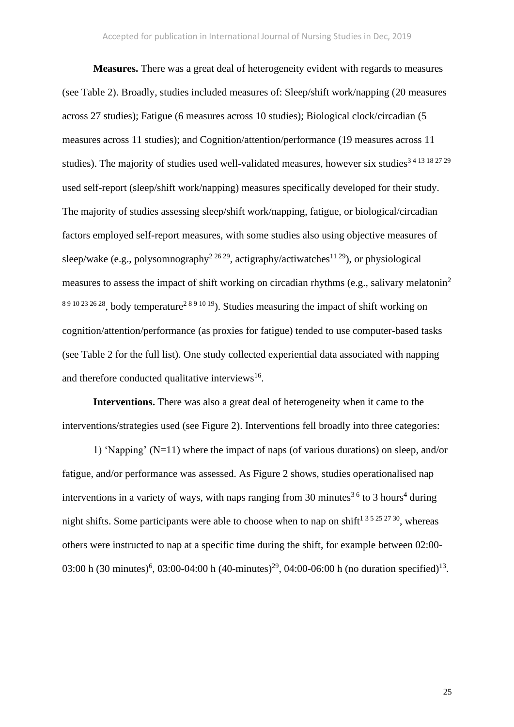**Measures.** There was a great deal of heterogeneity evident with regards to measures (see Table 2). Broadly, studies included measures of: Sleep/shift work/napping (20 measures across 27 studies); Fatigue (6 measures across 10 studies); Biological clock/circadian (5 measures across 11 studies); and Cognition/attention/performance (19 measures across 11 studies). The majority of studies used well-validated measures, however six studies<sup>3413182729</sup> used self-report (sleep/shift work/napping) measures specifically developed for their study. The majority of studies assessing sleep/shift work/napping, fatigue, or biological/circadian factors employed self-report measures, with some studies also using objective measures of sleep/wake (e.g., polysomnography<sup>2 26 29</sup>, actigraphy/actiwatches<sup>11 29</sup>), or physiological measures to assess the impact of shift working on circadian rhythms (e.g., salivary melatonin<sup>2</sup> 8 9 10 23 26 28, body temperature<sup>2 8 9 10 19</sup>). Studies measuring the impact of shift working on cognition/attention/performance (as proxies for fatigue) tended to use computer-based tasks (see Table 2 for the full list). One study collected experiential data associated with napping and therefore conducted qualitative interviews<sup>16</sup>.

**Interventions.** There was also a great deal of heterogeneity when it came to the interventions/strategies used (see Figure 2). Interventions fell broadly into three categories:

1) 'Napping' (N=11) where the impact of naps (of various durations) on sleep, and/or fatigue, and/or performance was assessed. As Figure 2 shows, studies operationalised nap interventions in a variety of ways, with naps ranging from 30 minutes<sup>36</sup> to 3 hours<sup>4</sup> during night shifts. Some participants were able to choose when to nap on shift<sup>1 3 5 25 27 30</sup>, whereas others were instructed to nap at a specific time during the shift, for example between 02:00- 03:00 h (30 minutes)<sup>6</sup>, 03:00-04:00 h (40-minutes)<sup>29</sup>, 04:00-06:00 h (no duration specified)<sup>13</sup>.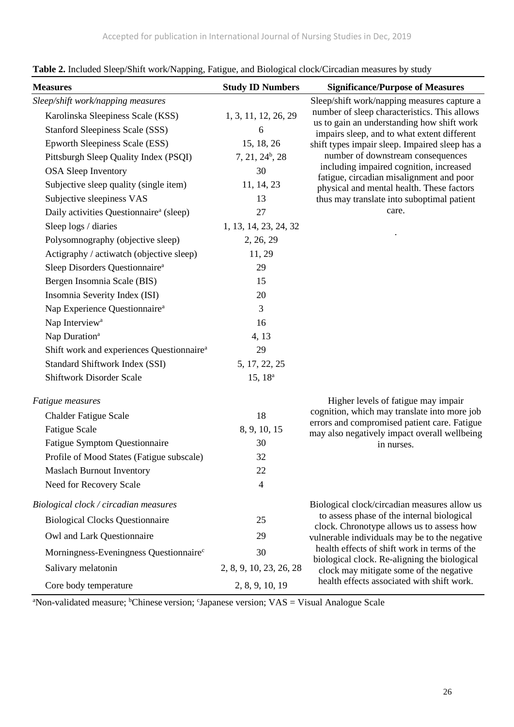| <b>Measures</b>                                       | <b>Study ID Numbers</b> | <b>Significance/Purpose of Measures</b>                                                                                                                                                  |  |  |
|-------------------------------------------------------|-------------------------|------------------------------------------------------------------------------------------------------------------------------------------------------------------------------------------|--|--|
| Sleep/shift work/napping measures                     |                         | Sleep/shift work/napping measures capture a<br>number of sleep characteristics. This allows<br>us to gain an understanding how shift work<br>impairs sleep, and to what extent different |  |  |
| Karolinska Sleepiness Scale (KSS)                     | 1, 3, 11, 12, 26, 29    |                                                                                                                                                                                          |  |  |
| <b>Stanford Sleepiness Scale (SSS)</b>                | 6                       |                                                                                                                                                                                          |  |  |
| Epworth Sleepiness Scale (ESS)                        | 15, 18, 26              | shift types impair sleep. Impaired sleep has a                                                                                                                                           |  |  |
| Pittsburgh Sleep Quality Index (PSQI)                 | $7, 21, 24^b, 28$       | number of downstream consequences                                                                                                                                                        |  |  |
| <b>OSA</b> Sleep Inventory                            | 30                      | including impaired cognition, increased<br>fatigue, circadian misalignment and poor                                                                                                      |  |  |
| Subjective sleep quality (single item)                | 11, 14, 23              | physical and mental health. These factors                                                                                                                                                |  |  |
| Subjective sleepiness VAS                             | 13                      | thus may translate into suboptimal patient                                                                                                                                               |  |  |
| Daily activities Questionnaire <sup>a</sup> (sleep)   | 27                      | care.                                                                                                                                                                                    |  |  |
| Sleep logs / diaries                                  | 1, 13, 14, 23, 24, 32   |                                                                                                                                                                                          |  |  |
| Polysomnography (objective sleep)                     | 2, 26, 29               |                                                                                                                                                                                          |  |  |
| Actigraphy / actiwatch (objective sleep)              | 11, 29                  |                                                                                                                                                                                          |  |  |
| Sleep Disorders Questionnaire <sup>a</sup>            | 29                      |                                                                                                                                                                                          |  |  |
| Bergen Insomnia Scale (BIS)                           | 15                      |                                                                                                                                                                                          |  |  |
| Insomnia Severity Index (ISI)                         | 20                      |                                                                                                                                                                                          |  |  |
| Nap Experience Questionnaire <sup>a</sup>             | 3                       |                                                                                                                                                                                          |  |  |
| Nap Interview <sup>a</sup>                            | 16                      |                                                                                                                                                                                          |  |  |
| Nap Duration <sup>a</sup>                             | 4, 13                   |                                                                                                                                                                                          |  |  |
| Shift work and experiences Questionnaire <sup>a</sup> | 29                      |                                                                                                                                                                                          |  |  |
| Standard Shiftwork Index (SSI)                        | 5, 17, 22, 25           |                                                                                                                                                                                          |  |  |
| Shiftwork Disorder Scale                              | 15, 18 <sup>a</sup>     |                                                                                                                                                                                          |  |  |
| Fatigue measures                                      |                         | Higher levels of fatigue may impair                                                                                                                                                      |  |  |
| <b>Chalder Fatigue Scale</b>                          | 18                      | cognition, which may translate into more job                                                                                                                                             |  |  |
| <b>Fatigue Scale</b>                                  | 8, 9, 10, 15            | errors and compromised patient care. Fatigue<br>may also negatively impact overall wellbeing                                                                                             |  |  |
| <b>Fatigue Symptom Questionnaire</b>                  | 30                      | in nurses.                                                                                                                                                                               |  |  |
| Profile of Mood States (Fatigue subscale)             | 32                      |                                                                                                                                                                                          |  |  |
| <b>Maslach Burnout Inventory</b>                      | 22                      |                                                                                                                                                                                          |  |  |
| Need for Recovery Scale                               | 4                       |                                                                                                                                                                                          |  |  |
| Biological clock / circadian measures                 |                         | Biological clock/circadian measures allow us                                                                                                                                             |  |  |
| <b>Biological Clocks Questionnaire</b>                | 25                      | to assess phase of the internal biological<br>clock. Chronotype allows us to assess how                                                                                                  |  |  |
| Owl and Lark Questionnaire                            | 29                      | vulnerable individuals may be to the negative                                                                                                                                            |  |  |
| Morningness-Eveningness Questionnaire <sup>c</sup>    | 30                      | health effects of shift work in terms of the                                                                                                                                             |  |  |
| Salivary melatonin                                    | 2, 8, 9, 10, 23, 26, 28 | biological clock. Re-aligning the biological<br>clock may mitigate some of the negative                                                                                                  |  |  |
| Core body temperature                                 | 2, 8, 9, 10, 19         | health effects associated with shift work.                                                                                                                                               |  |  |

<sup>a</sup>Non-validated measure; <sup>b</sup>Chinese version; <sup>c</sup>Japanese version; VAS = Visual Analogue Scale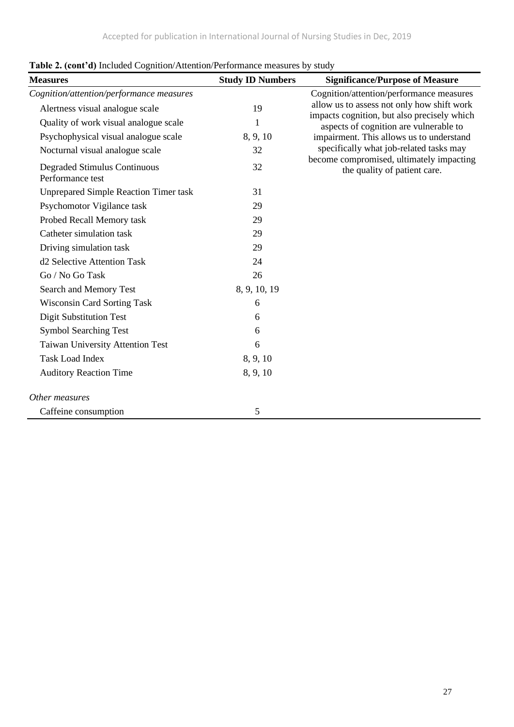| <b>Measures</b>                                         | <b>Study ID Numbers</b> | <b>Significance/Purpose of Measure</b>                                                                                                                                                                                                                                                                 |  |
|---------------------------------------------------------|-------------------------|--------------------------------------------------------------------------------------------------------------------------------------------------------------------------------------------------------------------------------------------------------------------------------------------------------|--|
| Cognition/attention/performance measures                |                         | Cognition/attention/performance measures                                                                                                                                                                                                                                                               |  |
| Alertness visual analogue scale                         | 19                      | allow us to assess not only how shift work<br>impacts cognition, but also precisely which<br>aspects of cognition are vulnerable to<br>impairment. This allows us to understand<br>specifically what job-related tasks may<br>become compromised, ultimately impacting<br>the quality of patient care. |  |
| Quality of work visual analogue scale                   | 1                       |                                                                                                                                                                                                                                                                                                        |  |
| Psychophysical visual analogue scale                    | 8, 9, 10                |                                                                                                                                                                                                                                                                                                        |  |
| Nocturnal visual analogue scale                         | 32                      |                                                                                                                                                                                                                                                                                                        |  |
| <b>Degraded Stimulus Continuous</b><br>Performance test | 32                      |                                                                                                                                                                                                                                                                                                        |  |
| <b>Unprepared Simple Reaction Timer task</b>            | 31                      |                                                                                                                                                                                                                                                                                                        |  |
| Psychomotor Vigilance task                              | 29                      |                                                                                                                                                                                                                                                                                                        |  |
| Probed Recall Memory task                               | 29                      |                                                                                                                                                                                                                                                                                                        |  |
| Catheter simulation task                                | 29                      |                                                                                                                                                                                                                                                                                                        |  |
| Driving simulation task                                 | 29                      |                                                                                                                                                                                                                                                                                                        |  |
| d2 Selective Attention Task                             | 24                      |                                                                                                                                                                                                                                                                                                        |  |
| Go / No Go Task                                         | 26                      |                                                                                                                                                                                                                                                                                                        |  |
| Search and Memory Test                                  | 8, 9, 10, 19            |                                                                                                                                                                                                                                                                                                        |  |
| <b>Wisconsin Card Sorting Task</b>                      | 6                       |                                                                                                                                                                                                                                                                                                        |  |
| <b>Digit Substitution Test</b>                          | 6                       |                                                                                                                                                                                                                                                                                                        |  |
| <b>Symbol Searching Test</b>                            | 6                       |                                                                                                                                                                                                                                                                                                        |  |
| Taiwan University Attention Test                        | 6                       |                                                                                                                                                                                                                                                                                                        |  |
| <b>Task Load Index</b>                                  | 8, 9, 10                |                                                                                                                                                                                                                                                                                                        |  |
| <b>Auditory Reaction Time</b>                           | 8, 9, 10                |                                                                                                                                                                                                                                                                                                        |  |
| Other measures                                          |                         |                                                                                                                                                                                                                                                                                                        |  |
| Caffeine consumption                                    | 5                       |                                                                                                                                                                                                                                                                                                        |  |

# **Table 2. (cont'd)** Included Cognition/Attention/Performance measures by study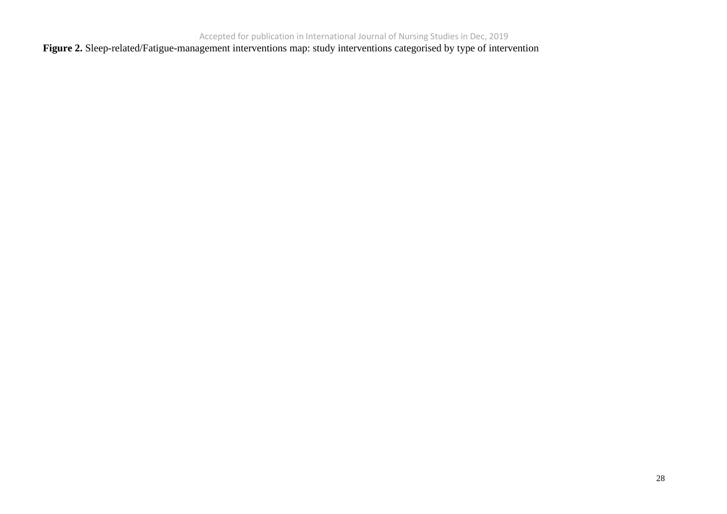**Figure 2.** Sleep-related/Fatigue-management interventions map: study interventions categorised by type of intervention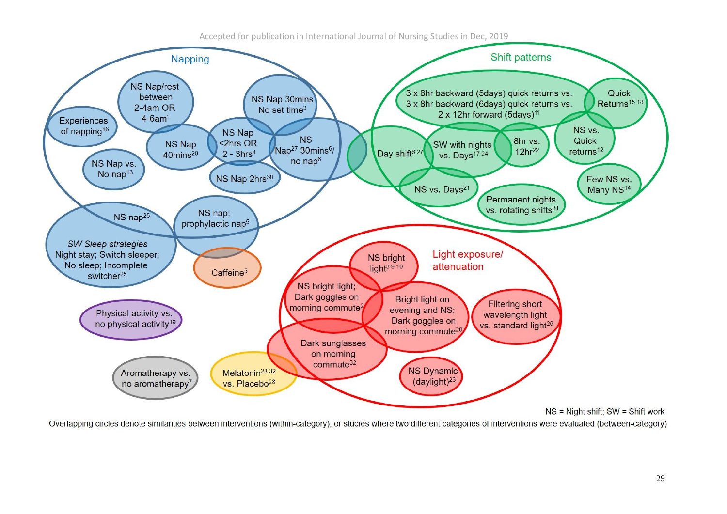

NS = Night shift; SW = Shift work

Overlapping circles denote similarities between interventions (within-category), or studies where two different categories of interventions were evaluated (between-category)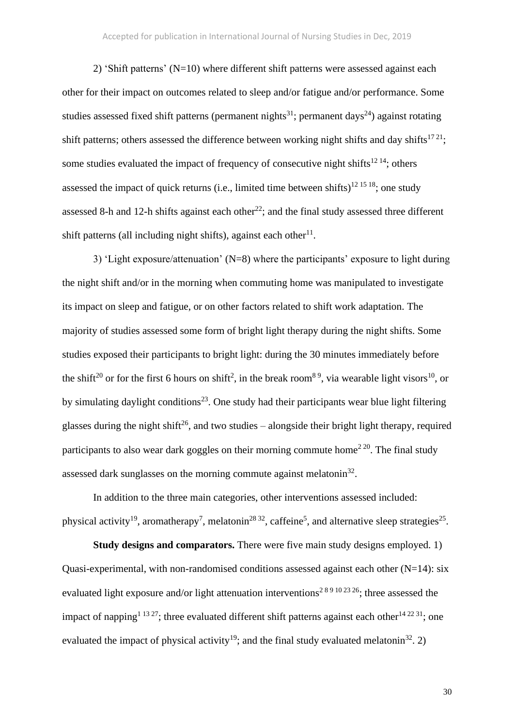2) 'Shift patterns' (N=10) where different shift patterns were assessed against each other for their impact on outcomes related to sleep and/or fatigue and/or performance. Some studies assessed fixed shift patterns (permanent nights<sup>31</sup>; permanent days<sup>24</sup>) against rotating shift patterns; others assessed the difference between working night shifts and day shifts<sup>1721</sup>; some studies evaluated the impact of frequency of consecutive night shifts<sup>12 14</sup>; others assessed the impact of quick returns (i.e., limited time between shifts)<sup>12 15 18</sup>; one study assessed 8-h and 12-h shifts against each other<sup>22</sup>; and the final study assessed three different shift patterns (all including night shifts), against each other $^{11}$ .

3) 'Light exposure/attenuation' (N=8) where the participants' exposure to light during the night shift and/or in the morning when commuting home was manipulated to investigate its impact on sleep and fatigue, or on other factors related to shift work adaptation. The majority of studies assessed some form of bright light therapy during the night shifts. Some studies exposed their participants to bright light: during the 30 minutes immediately before the shift<sup>20</sup> or for the first 6 hours on shift<sup>2</sup>, in the break room<sup>89</sup>, via wearable light visors<sup>10</sup>, or by simulating daylight conditions<sup>23</sup>. One study had their participants wear blue light filtering glasses during the night shift<sup>26</sup>, and two studies – alongside their bright light therapy, required participants to also wear dark goggles on their morning commute home<sup>2 20</sup>. The final study assessed dark sunglasses on the morning commute against melatonin<sup>32</sup>.

In addition to the three main categories, other interventions assessed included: physical activity<sup>19</sup>, aromatherapy<sup>7</sup>, melatonin<sup>28 32</sup>, caffeine<sup>5</sup>, and alternative sleep strategies<sup>25</sup>.

**Study designs and comparators.** There were five main study designs employed. 1) Quasi-experimental, with non-randomised conditions assessed against each other  $(N=14)$ : six evaluated light exposure and/or light attenuation interventions<sup>289102326</sup>; three assessed the impact of napping<sup>1 13 27</sup>; three evaluated different shift patterns against each other<sup>14 22 31</sup>; one evaluated the impact of physical activity<sup>19</sup>; and the final study evaluated melatonin<sup>32</sup>. 2)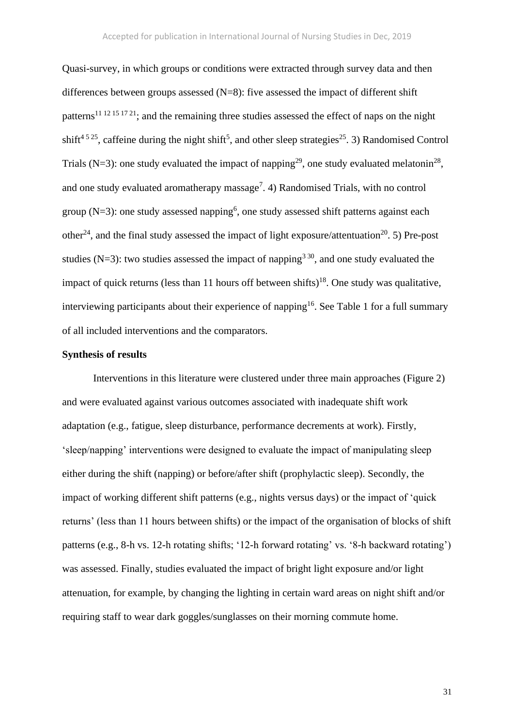Quasi-survey, in which groups or conditions were extracted through survey data and then differences between groups assessed  $(N=8)$ : five assessed the impact of different shift patterns<sup>11 12 15 17 21</sup>; and the remaining three studies assessed the effect of naps on the night shift<sup>4525</sup>, caffeine during the night shift<sup>5</sup>, and other sleep strategies<sup>25</sup>. 3) Randomised Control Trials (N=3): one study evaluated the impact of napping<sup>29</sup>, one study evaluated melatonin<sup>28</sup>, and one study evaluated aromatherapy massage<sup>7</sup>. 4) Randomised Trials, with no control  $group(N=3)$ : one study assessed napping<sup>6</sup>, one study assessed shift patterns against each other<sup>24</sup>, and the final study assessed the impact of light exposure/attentuation<sup>20</sup>. 5) Pre-post studies (N=3): two studies assessed the impact of napping<sup>3 30</sup>, and one study evaluated the impact of quick returns (less than 11 hours off between shifts)<sup>18</sup>. One study was qualitative, interviewing participants about their experience of napping<sup>16</sup>. See Table 1 for a full summary of all included interventions and the comparators.

### **Synthesis of results**

Interventions in this literature were clustered under three main approaches (Figure 2) and were evaluated against various outcomes associated with inadequate shift work adaptation (e.g., fatigue, sleep disturbance, performance decrements at work). Firstly, 'sleep/napping' interventions were designed to evaluate the impact of manipulating sleep either during the shift (napping) or before/after shift (prophylactic sleep). Secondly, the impact of working different shift patterns (e.g., nights versus days) or the impact of 'quick returns' (less than 11 hours between shifts) or the impact of the organisation of blocks of shift patterns (e.g., 8-h vs. 12-h rotating shifts; '12-h forward rotating' vs. '8-h backward rotating') was assessed. Finally, studies evaluated the impact of bright light exposure and/or light attenuation, for example, by changing the lighting in certain ward areas on night shift and/or requiring staff to wear dark goggles/sunglasses on their morning commute home.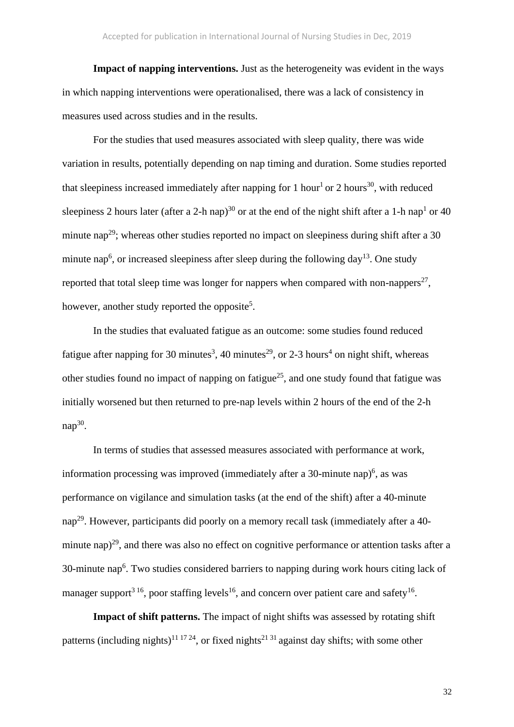**Impact of napping interventions.** Just as the heterogeneity was evident in the ways in which napping interventions were operationalised, there was a lack of consistency in measures used across studies and in the results.

For the studies that used measures associated with sleep quality, there was wide variation in results, potentially depending on nap timing and duration. Some studies reported that sleepiness increased immediately after napping for 1 hour<sup>1</sup> or 2 hours<sup>30</sup>, with reduced sleepiness 2 hours later (after a 2-h nap)<sup>30</sup> or at the end of the night shift after a 1-h nap<sup>1</sup> or 40 minute nap<sup>29</sup>; whereas other studies reported no impact on sleepiness during shift after a 30 minute nap<sup>6</sup>, or increased sleepiness after sleep during the following day<sup>13</sup>. One study reported that total sleep time was longer for nappers when compared with non-nappers<sup>27</sup>, however, another study reported the opposite<sup>5</sup>.

In the studies that evaluated fatigue as an outcome: some studies found reduced fatigue after napping for 30 minutes<sup>3</sup>, 40 minutes<sup>29</sup>, or 2-3 hours<sup>4</sup> on night shift, whereas other studies found no impact of napping on fatigue<sup>25</sup>, and one study found that fatigue was initially worsened but then returned to pre-nap levels within 2 hours of the end of the 2-h  $nap^{30}$ .

In terms of studies that assessed measures associated with performance at work, information processing was improved (immediately after a 30-minute nap)<sup>6</sup>, as was performance on vigilance and simulation tasks (at the end of the shift) after a 40-minute nap<sup>29</sup>. However, participants did poorly on a memory recall task (immediately after a 40minute nap)<sup>29</sup>, and there was also no effect on cognitive performance or attention tasks after a 30-minute nap<sup>6</sup>. Two studies considered barriers to napping during work hours citing lack of manager support<sup>3 16</sup>, poor staffing levels<sup>16</sup>, and concern over patient care and safety<sup>16</sup>.

**Impact of shift patterns.** The impact of night shifts was assessed by rotating shift patterns (including nights)<sup>11 17 24</sup>, or fixed nights<sup>21 31</sup> against day shifts; with some other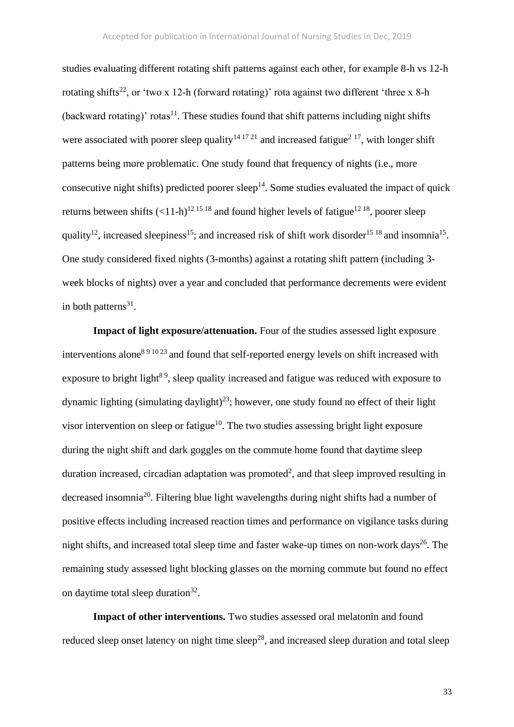studies evaluating different rotating shift patterns against each other, for example 8-h vs 12-h rotating shifts<sup>22</sup>, or 'two x 12-h (forward rotating)' rota against two different 'three x 8-h (backward rotating)' rotas $^{11}$ . These studies found that shift patterns including night shifts were associated with poorer sleep quality<sup>14 17 21</sup> and increased fatigue<sup>2 17</sup>, with longer shift patterns being more problematic. One study found that frequency of nights (i.e., more consecutive night shifts) predicted poorer sleep<sup>14</sup>. Some studies evaluated the impact of quick returns between shifts  $(<11-h)^{12}$  15 18 and found higher levels of fatigue<sup>12 18</sup>, poorer sleep quality<sup>12</sup>, increased sleepiness<sup>15</sup>; and increased risk of shift work disorder<sup>15 18</sup> and insomnia<sup>15</sup>. One study considered fixed nights (3-months) against a rotating shift pattern (including 3 week blocks of nights) over a year and concluded that performance decrements were evident in both patterns $31$ .

**Impact of light exposure/attenuation.** Four of the studies assessed light exposure interventions alone<sup>8 9 10 23</sup> and found that self-reported energy levels on shift increased with exposure to bright light<sup>89</sup>, sleep quality increased and fatigue was reduced with exposure to dynamic lighting (simulating daylight)<sup>23</sup>; however, one study found no effect of their light visor intervention on sleep or fatigue<sup>10</sup>. The two studies assessing bright light exposure during the night shift and dark goggles on the commute home found that daytime sleep duration increased, circadian adaptation was promoted<sup>2</sup>, and that sleep improved resulting in decreased insomnia<sup>20</sup>. Filtering blue light wavelengths during night shifts had a number of positive effects including increased reaction times and performance on vigilance tasks during night shifts, and increased total sleep time and faster wake-up times on non-work days<sup>26</sup>. The remaining study assessed light blocking glasses on the morning commute but found no effect on daytime total sleep duration<sup>32</sup>.

**Impact of other interventions.** Two studies assessed oral melatonin and found reduced sleep onset latency on night time sleep<sup>28</sup>, and increased sleep duration and total sleep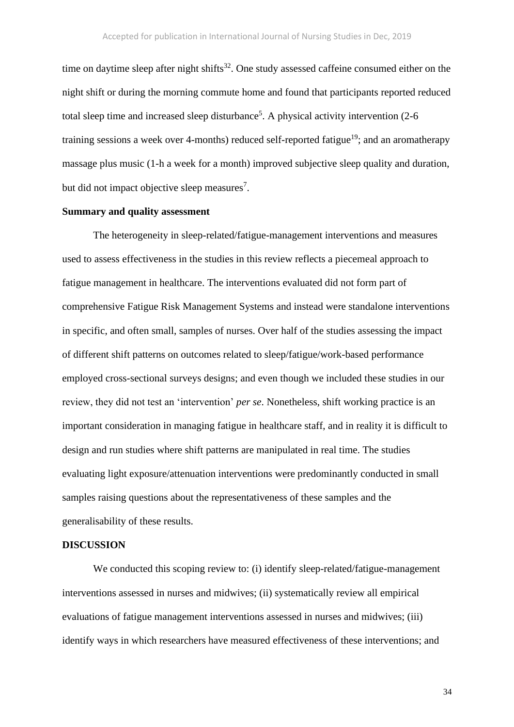time on daytime sleep after night shifts<sup>32</sup>. One study assessed caffeine consumed either on the night shift or during the morning commute home and found that participants reported reduced total sleep time and increased sleep disturbance<sup>5</sup>. A physical activity intervention  $(2\n-6)$ training sessions a week over 4-months) reduced self-reported fatigue<sup>19</sup>; and an aromatherapy massage plus music (1-h a week for a month) improved subjective sleep quality and duration, but did not impact objective sleep measures<sup>7</sup>.

### **Summary and quality assessment**

The heterogeneity in sleep-related/fatigue-management interventions and measures used to assess effectiveness in the studies in this review reflects a piecemeal approach to fatigue management in healthcare. The interventions evaluated did not form part of comprehensive Fatigue Risk Management Systems and instead were standalone interventions in specific, and often small, samples of nurses. Over half of the studies assessing the impact of different shift patterns on outcomes related to sleep/fatigue/work-based performance employed cross-sectional surveys designs; and even though we included these studies in our review, they did not test an 'intervention' *per se*. Nonetheless, shift working practice is an important consideration in managing fatigue in healthcare staff, and in reality it is difficult to design and run studies where shift patterns are manipulated in real time. The studies evaluating light exposure/attenuation interventions were predominantly conducted in small samples raising questions about the representativeness of these samples and the generalisability of these results.

### **DISCUSSION**

We conducted this scoping review to: (i) identify sleep-related/fatigue-management interventions assessed in nurses and midwives; (ii) systematically review all empirical evaluations of fatigue management interventions assessed in nurses and midwives; (iii) identify ways in which researchers have measured effectiveness of these interventions; and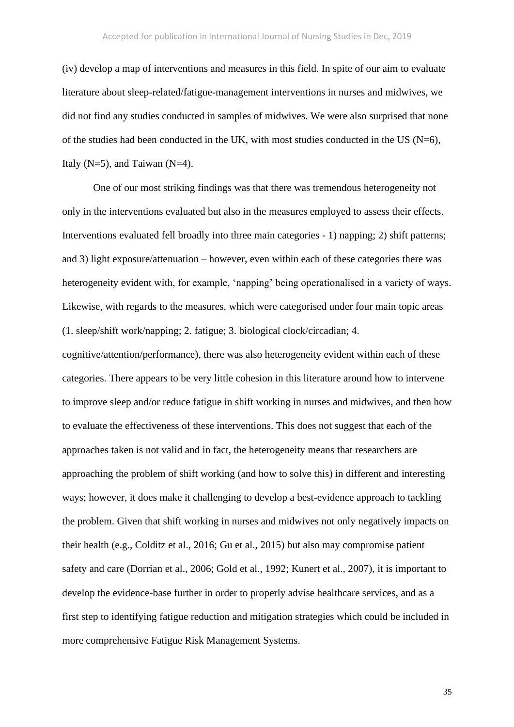(iv) develop a map of interventions and measures in this field. In spite of our aim to evaluate literature about sleep-related/fatigue-management interventions in nurses and midwives, we did not find any studies conducted in samples of midwives. We were also surprised that none of the studies had been conducted in the UK, with most studies conducted in the US  $(N=6)$ , Italy ( $N=5$ ), and Taiwan ( $N=4$ ).

One of our most striking findings was that there was tremendous heterogeneity not only in the interventions evaluated but also in the measures employed to assess their effects. Interventions evaluated fell broadly into three main categories - 1) napping; 2) shift patterns; and 3) light exposure/attenuation – however, even within each of these categories there was heterogeneity evident with, for example, 'napping' being operationalised in a variety of ways. Likewise, with regards to the measures, which were categorised under four main topic areas (1. sleep/shift work/napping; 2. fatigue; 3. biological clock/circadian; 4.

cognitive/attention/performance), there was also heterogeneity evident within each of these categories. There appears to be very little cohesion in this literature around how to intervene to improve sleep and/or reduce fatigue in shift working in nurses and midwives, and then how to evaluate the effectiveness of these interventions. This does not suggest that each of the approaches taken is not valid and in fact, the heterogeneity means that researchers are approaching the problem of shift working (and how to solve this) in different and interesting ways; however, it does make it challenging to develop a best-evidence approach to tackling the problem. Given that shift working in nurses and midwives not only negatively impacts on their health (e.g., Colditz et al., 2016; Gu et al., 2015) but also may compromise patient safety and care (Dorrian et al., 2006; Gold et al., 1992; Kunert et al., 2007), it is important to develop the evidence-base further in order to properly advise healthcare services, and as a first step to identifying fatigue reduction and mitigation strategies which could be included in more comprehensive Fatigue Risk Management Systems.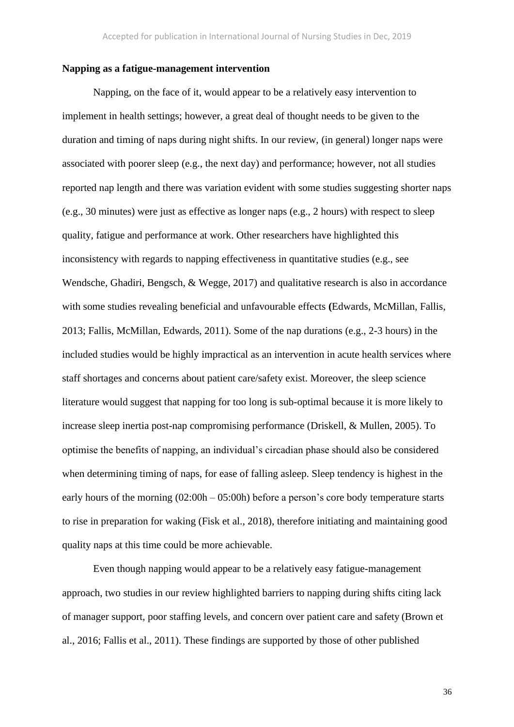### **Napping as a fatigue-management intervention**

Napping, on the face of it, would appear to be a relatively easy intervention to implement in health settings; however, a great deal of thought needs to be given to the duration and timing of naps during night shifts. In our review, (in general) longer naps were associated with poorer sleep (e.g., the next day) and performance; however, not all studies reported nap length and there was variation evident with some studies suggesting shorter naps (e.g., 30 minutes) were just as effective as longer naps (e.g., 2 hours) with respect to sleep quality, fatigue and performance at work. Other researchers have highlighted this inconsistency with regards to napping effectiveness in quantitative studies (e.g., see Wendsche, Ghadiri, Bengsch, & Wegge, 2017) and qualitative research is also in accordance with some studies revealing beneficial and unfavourable effects **(**Edwards, McMillan, Fallis, 2013; Fallis, McMillan, Edwards, 2011). Some of the nap durations (e.g., 2-3 hours) in the included studies would be highly impractical as an intervention in acute health services where staff shortages and concerns about patient care/safety exist. Moreover, the sleep science literature would suggest that napping for too long is sub-optimal because it is more likely to increase sleep inertia post-nap compromising performance (Driskell, & Mullen, 2005). To optimise the benefits of napping, an individual's circadian phase should also be considered when determining timing of naps, for ease of falling asleep. Sleep tendency is highest in the early hours of the morning (02:00h – 05:00h) before a person's core body temperature starts to rise in preparation for waking (Fisk et al., 2018), therefore initiating and maintaining good quality naps at this time could be more achievable.

Even though napping would appear to be a relatively easy fatigue-management approach, two studies in our review highlighted barriers to napping during shifts citing lack of manager support, poor staffing levels, and concern over patient care and safety (Brown et al., 2016; Fallis et al., 2011). These findings are supported by those of other published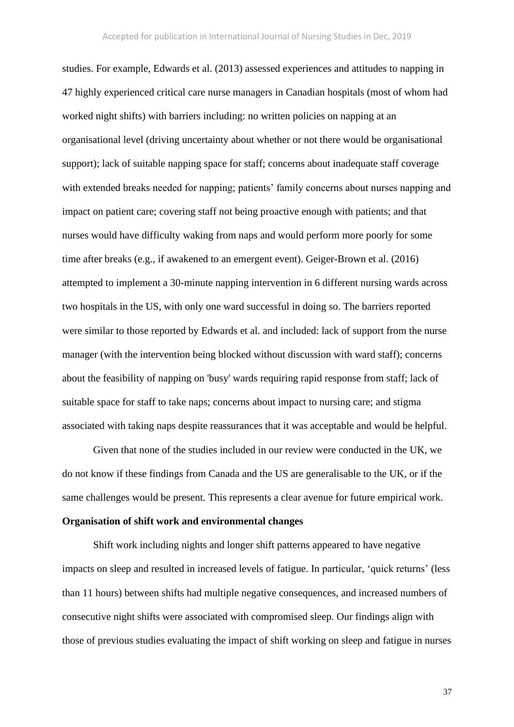studies. For example, Edwards et al. (2013) assessed experiences and attitudes to napping in 47 highly experienced critical care nurse managers in Canadian hospitals (most of whom had worked night shifts) with barriers including: no written policies on napping at an organisational level (driving uncertainty about whether or not there would be organisational support); lack of suitable napping space for staff; concerns about inadequate staff coverage with extended breaks needed for napping; patients' family concerns about nurses napping and impact on patient care; covering staff not being proactive enough with patients; and that nurses would have difficulty waking from naps and would perform more poorly for some time after breaks (e.g., if awakened to an emergent event). Geiger-Brown et al. (2016) attempted to implement a 30-minute napping intervention in 6 different nursing wards across two hospitals in the US, with only one ward successful in doing so. The barriers reported were similar to those reported by Edwards et al. and included: lack of support from the nurse manager (with the intervention being blocked without discussion with ward staff); concerns about the feasibility of napping on 'busy' wards requiring rapid response from staff; lack of suitable space for staff to take naps; concerns about impact to nursing care; and stigma associated with taking naps despite reassurances that it was acceptable and would be helpful.

Given that none of the studies included in our review were conducted in the UK, we do not know if these findings from Canada and the US are generalisable to the UK, or if the same challenges would be present. This represents a clear avenue for future empirical work.

### **Organisation of shift work and environmental changes**

Shift work including nights and longer shift patterns appeared to have negative impacts on sleep and resulted in increased levels of fatigue. In particular, 'quick returns' (less than 11 hours) between shifts had multiple negative consequences, and increased numbers of consecutive night shifts were associated with compromised sleep. Our findings align with those of previous studies evaluating the impact of shift working on sleep and fatigue in nurses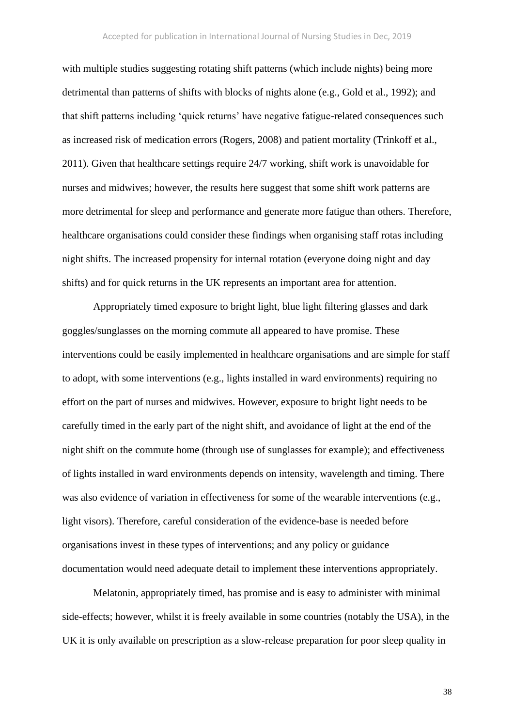with multiple studies suggesting rotating shift patterns (which include nights) being more detrimental than patterns of shifts with blocks of nights alone (e.g., Gold et al., 1992); and that shift patterns including 'quick returns' have negative fatigue-related consequences such as increased risk of medication errors (Rogers, 2008) and patient mortality (Trinkoff et al., 2011). Given that healthcare settings require 24/7 working, shift work is unavoidable for nurses and midwives; however, the results here suggest that some shift work patterns are more detrimental for sleep and performance and generate more fatigue than others. Therefore, healthcare organisations could consider these findings when organising staff rotas including night shifts. The increased propensity for internal rotation (everyone doing night and day shifts) and for quick returns in the UK represents an important area for attention.

Appropriately timed exposure to bright light, blue light filtering glasses and dark goggles/sunglasses on the morning commute all appeared to have promise. These interventions could be easily implemented in healthcare organisations and are simple for staff to adopt, with some interventions (e.g., lights installed in ward environments) requiring no effort on the part of nurses and midwives. However, exposure to bright light needs to be carefully timed in the early part of the night shift, and avoidance of light at the end of the night shift on the commute home (through use of sunglasses for example); and effectiveness of lights installed in ward environments depends on intensity, wavelength and timing. There was also evidence of variation in effectiveness for some of the wearable interventions (e.g., light visors). Therefore, careful consideration of the evidence-base is needed before organisations invest in these types of interventions; and any policy or guidance documentation would need adequate detail to implement these interventions appropriately.

Melatonin, appropriately timed, has promise and is easy to administer with minimal side-effects; however, whilst it is freely available in some countries (notably the USA), in the UK it is only available on prescription as a slow-release preparation for poor sleep quality in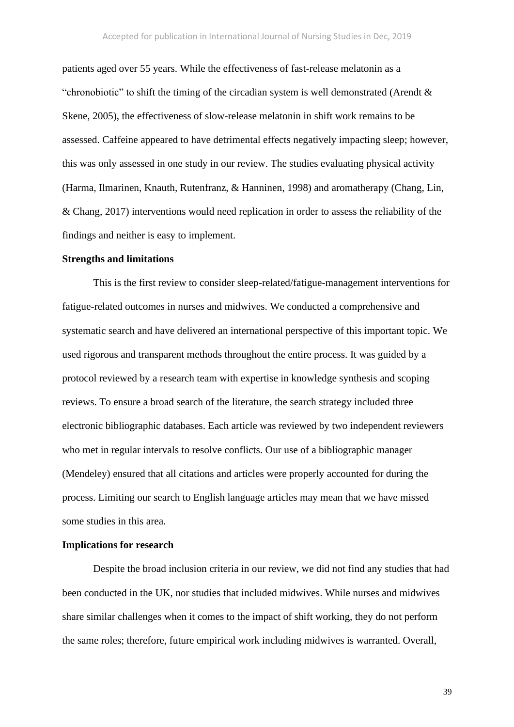patients aged over 55 years. While the effectiveness of fast-release melatonin as a "chronobiotic" to shift the timing of the circadian system is well demonstrated (Arendt & Skene, 2005), the effectiveness of slow-release melatonin in shift work remains to be assessed. Caffeine appeared to have detrimental effects negatively impacting sleep; however, this was only assessed in one study in our review. The studies evaluating physical activity (Harma, Ilmarinen, Knauth, Rutenfranz, & Hanninen, 1998) and aromatherapy (Chang, Lin, & Chang, 2017) interventions would need replication in order to assess the reliability of the findings and neither is easy to implement.

### **Strengths and limitations**

This is the first review to consider sleep-related/fatigue-management interventions for fatigue-related outcomes in nurses and midwives. We conducted a comprehensive and systematic search and have delivered an international perspective of this important topic. We used rigorous and transparent methods throughout the entire process. It was guided by a protocol reviewed by a research team with expertise in knowledge synthesis and scoping reviews. To ensure a broad search of the literature, the search strategy included three electronic bibliographic databases. Each article was reviewed by two independent reviewers who met in regular intervals to resolve conflicts. Our use of a bibliographic manager (Mendeley) ensured that all citations and articles were properly accounted for during the process. Limiting our search to English language articles may mean that we have missed some studies in this area.

### **Implications for research**

Despite the broad inclusion criteria in our review, we did not find any studies that had been conducted in the UK, nor studies that included midwives. While nurses and midwives share similar challenges when it comes to the impact of shift working, they do not perform the same roles; therefore, future empirical work including midwives is warranted. Overall,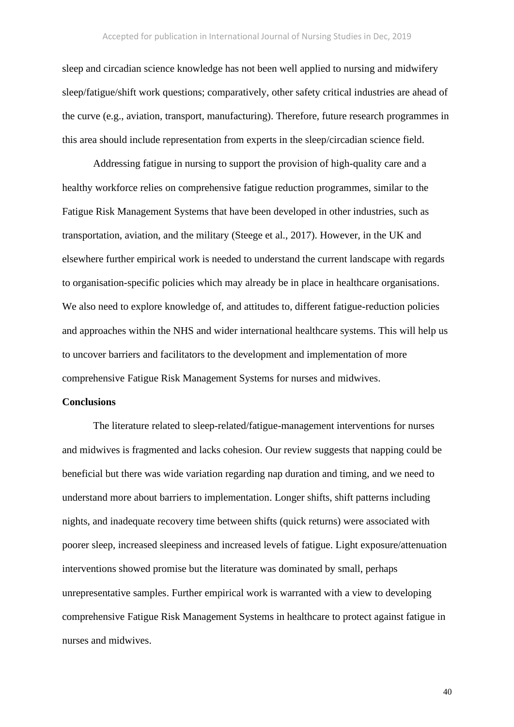sleep and circadian science knowledge has not been well applied to nursing and midwifery sleep/fatigue/shift work questions; comparatively, other safety critical industries are ahead of the curve (e.g., aviation, transport, manufacturing). Therefore, future research programmes in this area should include representation from experts in the sleep/circadian science field.

Addressing fatigue in nursing to support the provision of high-quality care and a healthy workforce relies on comprehensive fatigue reduction programmes, similar to the Fatigue Risk Management Systems that have been developed in other industries, such as transportation, aviation, and the military (Steege et al., 2017). However, in the UK and elsewhere further empirical work is needed to understand the current landscape with regards to organisation-specific policies which may already be in place in healthcare organisations. We also need to explore knowledge of, and attitudes to, different fatigue-reduction policies and approaches within the NHS and wider international healthcare systems. This will help us to uncover barriers and facilitators to the development and implementation of more comprehensive Fatigue Risk Management Systems for nurses and midwives.

### **Conclusions**

The literature related to sleep-related/fatigue-management interventions for nurses and midwives is fragmented and lacks cohesion. Our review suggests that napping could be beneficial but there was wide variation regarding nap duration and timing, and we need to understand more about barriers to implementation. Longer shifts, shift patterns including nights, and inadequate recovery time between shifts (quick returns) were associated with poorer sleep, increased sleepiness and increased levels of fatigue. Light exposure/attenuation interventions showed promise but the literature was dominated by small, perhaps unrepresentative samples. Further empirical work is warranted with a view to developing comprehensive Fatigue Risk Management Systems in healthcare to protect against fatigue in nurses and midwives.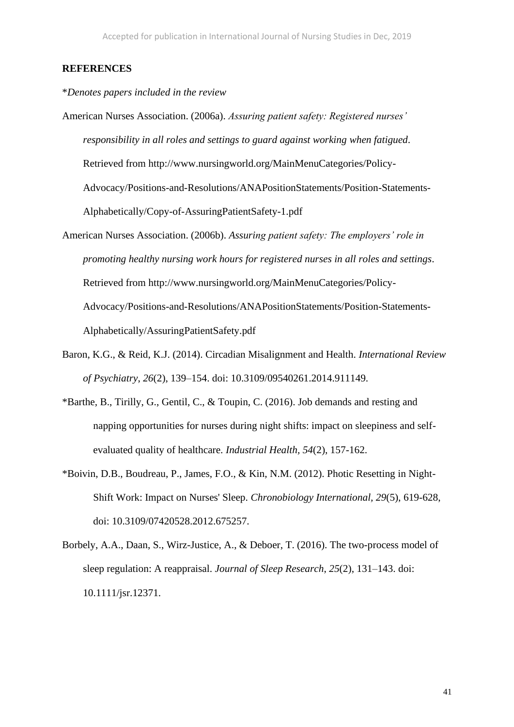#### **REFERENCES**

### \**Denotes papers included in the review*

- American Nurses Association. (2006a). *Assuring patient safety: Registered nurses' responsibility in all roles and settings to guard against working when fatigued*. Retrieved from http://www.nursingworld.org/MainMenuCategories/Policy-Advocacy/Positions-and-Resolutions/ANAPositionStatements/Position-Statements-Alphabetically/Copy-of-AssuringPatientSafety-1.pdf
- American Nurses Association. (2006b). *Assuring patient safety: The employers' role in promoting healthy nursing work hours for registered nurses in all roles and settings*. Retrieved from http://www.nursingworld.org/MainMenuCategories/Policy-Advocacy/Positions-and-Resolutions/ANAPositionStatements/Position-Statements-Alphabetically/AssuringPatientSafety.pdf
- Baron, K.G., & Reid, K.J. (2014). Circadian Misalignment and Health. *International Review of Psychiatry*, *26*(2), 139–154. doi: 10.3109/09540261.2014.911149.
- \*Barthe, B., Tirilly, G., Gentil, C., & Toupin, C. (2016). Job demands and resting and napping opportunities for nurses during night shifts: impact on sleepiness and selfevaluated quality of healthcare. *Industrial Health, 54*(2), 157-162.
- \*Boivin, D.B., Boudreau, P., James, F.O., & Kin, N.M. (2012). Photic Resetting in Night-Shift Work: Impact on Nurses' Sleep. *Chronobiology International, 29*(5), 619-628, doi: 10.3109/07420528.2012.675257.
- Borbely, A.A., Daan, S., Wirz-Justice, A., & Deboer, T. (2016). The two-process model of sleep regulation: A reappraisal. *Journal of Sleep Research*, *25*(2), 131–143. doi: 10.1111/jsr.12371.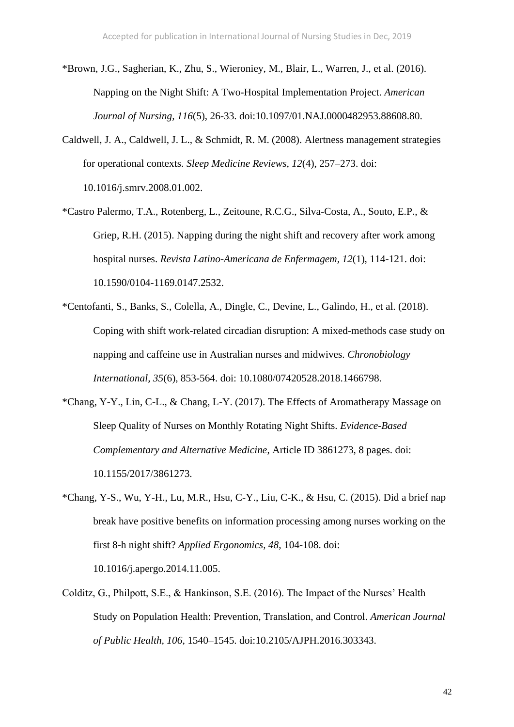- \*Brown, J.G., Sagherian, K., Zhu, S., Wieroniey, M., Blair, L., Warren, J., et al. (2016). Napping on the Night Shift: A Two-Hospital Implementation Project. *American Journal of Nursing, 116*(5), 26-33. doi:10.1097/01.NAJ.0000482953.88608.80.
- Caldwell, J. A., Caldwell, J. L., & Schmidt, R. M. (2008). Alertness management strategies for operational contexts. *Sleep Medicine Reviews*, *12*(4), 257–273. doi: 10.1016/j.smrv.2008.01.002.
- \*Castro Palermo, T.A., Rotenberg, L., Zeitoune, R.C.G., Silva-Costa, A., Souto, E.P., & Griep, R.H. (2015). Napping during the night shift and recovery after work among hospital nurses. *Revista Latino-Americana de Enfermagem, 12*(1), 114-121. doi: 10.1590/0104-1169.0147.2532.
- \*Centofanti, S., Banks, S., Colella, A., Dingle, C., Devine, L., Galindo, H., et al. (2018). Coping with shift work-related circadian disruption: A mixed-methods case study on napping and caffeine use in Australian nurses and midwives. *Chronobiology International, 35*(6), 853-564. doi: 10.1080/07420528.2018.1466798.
- \*Chang, Y-Y., Lin, C-L., & Chang, L-Y. (2017). The Effects of Aromatherapy Massage on Sleep Quality of Nurses on Monthly Rotating Night Shifts. *Evidence-Based Complementary and Alternative Medicine*, Article ID 3861273, 8 pages. doi: 10.1155/2017/3861273.
- \*Chang, Y-S., Wu, Y-H., Lu, M.R., Hsu, C-Y., Liu, C-K., & Hsu, C. (2015). Did a brief nap break have positive benefits on information processing among nurses working on the first 8-h night shift? *Applied Ergonomics, 48*, 104-108. doi:

10.1016/j.apergo.2014.11.005.

Colditz, G., Philpott, S.E., & Hankinson, S.E. (2016). The Impact of the Nurses' Health Study on Population Health: Prevention, Translation, and Control. *American Journal of Public Health, 106*, 1540–1545. doi:10.2105/AJPH.2016.303343.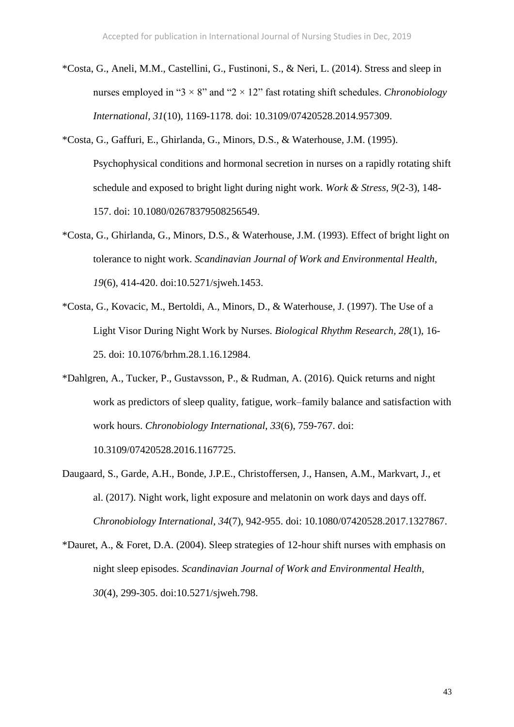- \*Costa, G., Aneli, M.M., Castellini, G., Fustinoni, S., & Neri, L. (2014). Stress and sleep in nurses employed in "3 × 8" and "2 × 12" fast rotating shift schedules. *Chronobiology International, 31*(10), 1169-1178. doi: 10.3109/07420528.2014.957309.
- \*Costa, G., Gaffuri, E., Ghirlanda, G., Minors, D.S., & Waterhouse, J.M. (1995). Psychophysical conditions and hormonal secretion in nurses on a rapidly rotating shift schedule and exposed to bright light during night work. *Work & Stress, 9*(2-3), 148- 157. doi: 10.1080/02678379508256549.
- \*Costa, G., Ghirlanda, G., Minors, D.S., & Waterhouse, J.M. (1993). Effect of bright light on tolerance to night work. *Scandinavian Journal of Work and Environmental Health, 19*(6), 414-420. doi:10.5271/sjweh.1453.
- \*Costa, G., Kovacic, M., Bertoldi, A., Minors, D., & Waterhouse, J. (1997). The Use of a Light Visor During Night Work by Nurses. *Biological Rhythm Research, 28*(1), 16- 25. doi: 10.1076/brhm.28.1.16.12984.
- \*Dahlgren, A., Tucker, P., Gustavsson, P., & Rudman, A. (2016). Quick returns and night work as predictors of sleep quality, fatigue, work–family balance and satisfaction with work hours. *Chronobiology International, 33*(6), 759-767. doi: 10.3109/07420528.2016.1167725.
- Daugaard, S., Garde, A.H., Bonde, J.P.E., Christoffersen, J., Hansen, A.M., Markvart, J., et al. (2017). Night work, light exposure and melatonin on work days and days off. *Chronobiology International, 34*(7), 942-955. doi: 10.1080/07420528.2017.1327867.
- \*Dauret, A., & Foret, D.A. (2004). Sleep strategies of 12-hour shift nurses with emphasis on night sleep episodes. *Scandinavian Journal of Work and Environmental Health, 30*(4), 299-305. doi:10.5271/sjweh.798.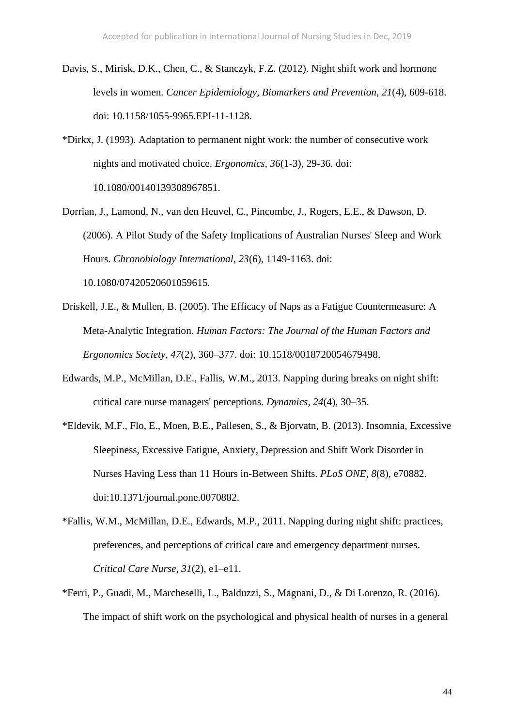- Davis, S., Mirisk, D.K., Chen, C., & Stanczyk, F.Z. (2012). Night shift work and hormone levels in women. *Cancer Epidemiology, Biomarkers and Prevention, 21*(4), 609-618. doi: 10.1158/1055-9965.EPI-11-1128.
- \*Dirkx, J. (1993). Adaptation to permanent night work: the number of consecutive work nights and motivated choice. *Ergonomics, 36*(1-3), 29-36. doi: 10.1080/00140139308967851.
- Dorrian, J., Lamond, N., van den Heuvel, C., Pincombe, J., Rogers, E.E., & Dawson, D. (2006). A Pilot Study of the Safety Implications of Australian Nurses' Sleep and Work Hours. *Chronobiology International, 23*(6), 1149-1163. doi: 10.1080/07420520601059615.
- Driskell, J.E., & Mullen, B. (2005). The Efficacy of Naps as a Fatigue Countermeasure: A Meta-Analytic Integration. *Human Factors: The Journal of the Human Factors and Ergonomics Society*, *47*(2), 360–377. doi: 10.1518/0018720054679498.
- Edwards, M.P., McMillan, D.E., Fallis, W.M., 2013. Napping during breaks on night shift: critical care nurse managers' perceptions. *Dynamics, 24*(4), 30–35.
- \*Eldevik, M.F., Flo, E., Moen, B.E., Pallesen, S., & Bjorvatn, B. (2013). Insomnia, Excessive Sleepiness, Excessive Fatigue, Anxiety, Depression and Shift Work Disorder in Nurses Having Less than 11 Hours in-Between Shifts. *PLoS ONE, 8*(8), e70882. doi:10.1371/journal.pone.0070882.
- \*Fallis, W.M., McMillan, D.E., Edwards, M.P., 2011. Napping during night shift: practices, preferences, and perceptions of critical care and emergency department nurses. *Critical Care Nurse, 31*(2), e1–e11.
- \*Ferri, P., Guadi, M., Marcheselli, L., Balduzzi, S., Magnani, D., & Di Lorenzo, R. (2016). The impact of shift work on the psychological and physical health of nurses in a general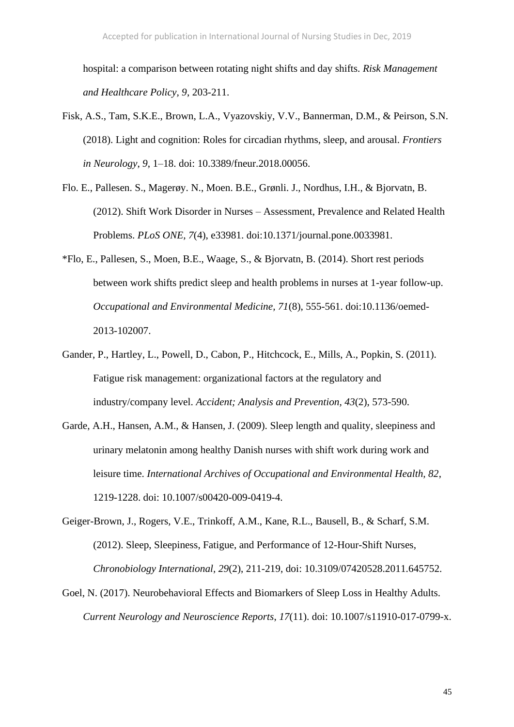hospital: a comparison between rotating night shifts and day shifts. *Risk Management and Healthcare Policy, 9*, 203-211.

- Fisk, A.S., Tam, S.K.E., Brown, L.A., Vyazovskiy, V.V., Bannerman, D.M., & Peirson, S.N. (2018). Light and cognition: Roles for circadian rhythms, sleep, and arousal. *Frontiers in Neurology*, *9*, 1–18. doi: 10.3389/fneur.2018.00056.
- Flo. E., Pallesen. S., Magerøy. N., Moen. B.E., Grønli. J., Nordhus, I.H., & Bjorvatn, B. (2012). Shift Work Disorder in Nurses – Assessment, Prevalence and Related Health Problems. *PLoS ONE, 7*(4), e33981. doi:10.1371/journal.pone.0033981.
- \*Flo, E., Pallesen, S., Moen, B.E., Waage, S., & Bjorvatn, B. (2014). Short rest periods between work shifts predict sleep and health problems in nurses at 1-year follow-up. *Occupational and Environmental Medicine, 71*(8), 555-561. doi:10.1136/oemed-2013-102007.
- Gander, P., Hartley, L., Powell, D., Cabon, P., Hitchcock, E., Mills, A., Popkin, S. (2011). Fatigue risk management: organizational factors at the regulatory and industry/company level. *Accident; Analysis and Prevention, 43*(2), 573-590.
- Garde, A.H., Hansen, A.M., & Hansen, J. (2009). Sleep length and quality, sleepiness and urinary melatonin among healthy Danish nurses with shift work during work and leisure time. *International Archives of Occupational and Environmental Health, 82*, 1219-1228. doi: 10.1007/s00420-009-0419-4.
- Geiger-Brown, J., Rogers, V.E., Trinkoff, A.M., Kane, R.L., Bausell, B., & Scharf, S.M. (2012). Sleep, Sleepiness, Fatigue, and Performance of 12-Hour-Shift Nurses, *Chronobiology International, 29*(2), 211-219, doi: 10.3109/07420528.2011.645752.
- Goel, N. (2017). Neurobehavioral Effects and Biomarkers of Sleep Loss in Healthy Adults. *Current Neurology and Neuroscience Reports*, *17*(11). doi: 10.1007/s11910-017-0799-x.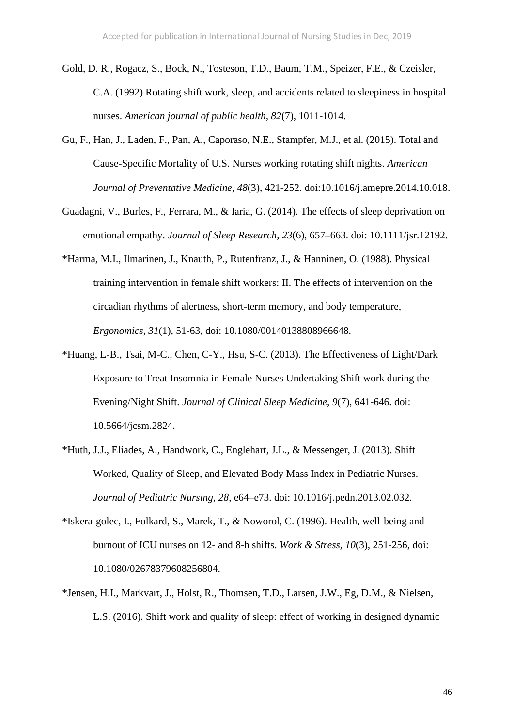- Gold, D. R., Rogacz, S., Bock, N., Tosteson, T.D., Baum, T.M., Speizer, F.E., & Czeisler, C.A. (1992) Rotating shift work, sleep, and accidents related to sleepiness in hospital nurses. *American journal of public health, 82*(7), 1011-1014.
- Gu, F., Han, J., Laden, F., Pan, A., Caporaso, N.E., Stampfer, M.J., et al. (2015). Total and Cause-Specific Mortality of U.S. Nurses working rotating shift nights. *American Journal of Preventative Medicine, 48*(3), 421-252. doi:10.1016/j.amepre.2014.10.018.
- Guadagni, V., Burles, F., Ferrara, M., & Iaria, G. (2014). The effects of sleep deprivation on emotional empathy. *Journal of Sleep Research*, *23*(6), 657–663. doi: 10.1111/jsr.12192.
- \*Harma, M.I., Ilmarinen, J., Knauth, P., Rutenfranz, J., & Hanninen, O. (1988). Physical training intervention in female shift workers: II. The effects of intervention on the circadian rhythms of alertness, short-term memory, and body temperature, *Ergonomics, 31*(1), 51-63, doi: 10.1080/00140138808966648.
- \*Huang, L-B., Tsai, M-C., Chen, C-Y., Hsu, S-C. (2013). The Effectiveness of Light/Dark Exposure to Treat Insomnia in Female Nurses Undertaking Shift work during the Evening/Night Shift. *Journal of Clinical Sleep Medicine, 9*(7), 641-646. doi: 10.5664/jcsm.2824.
- \*Huth, J.J., Eliades, A., Handwork, C., Englehart, J.L., & Messenger, J. (2013). Shift Worked, Quality of Sleep, and Elevated Body Mass Index in Pediatric Nurses. *Journal of Pediatric Nursing, 28*, e64–e73. doi: 10.1016/j.pedn.2013.02.032.
- \*Iskera-golec, I., Folkard, S., Marek, T., & Noworol, C. (1996). Health, well-being and burnout of ICU nurses on 12- and 8-h shifts. *Work & Stress, 10*(3), 251-256, doi: 10.1080/02678379608256804.
- \*Jensen, H.I., Markvart, J., Holst, R., Thomsen, T.D., Larsen, J.W., Eg, D.M., & Nielsen, L.S. (2016). Shift work and quality of sleep: effect of working in designed dynamic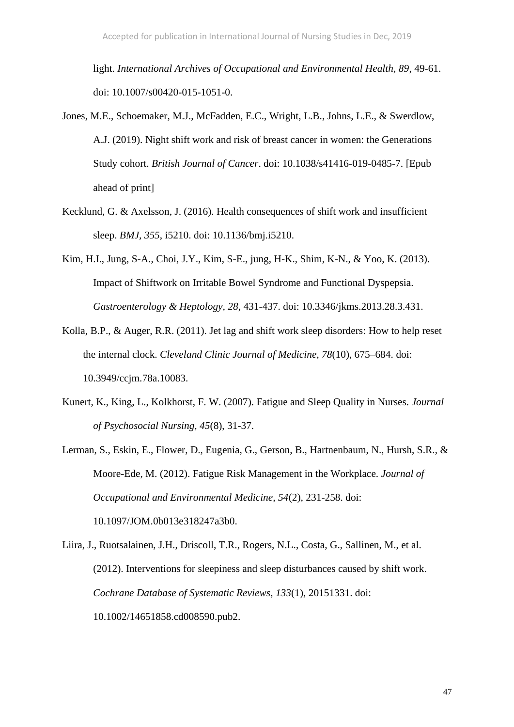light. *International Archives of Occupational and Environmental Health, 89*, 49-61. doi: 10.1007/s00420-015-1051-0.

- Jones, M.E., Schoemaker, M.J., McFadden, E.C., Wright, L.B., Johns, L.E., & Swerdlow, A.J. (2019). Night shift work and risk of breast cancer in women: the Generations Study cohort. *British Journal of Cancer*. doi: 10.1038/s41416-019-0485-7. [Epub ahead of print]
- Kecklund, G. & Axelsson, J. (2016). Health consequences of shift work and insufficient sleep. *BMJ, 355*, i5210. doi: 10.1136/bmj.i5210.
- Kim, H.I., Jung, S-A., Choi, J.Y., Kim, S-E., jung, H-K., Shim, K-N., & Yoo, K. (2013). Impact of Shiftwork on Irritable Bowel Syndrome and Functional Dyspepsia. *Gastroenterology & Heptology, 28*, 431-437. doi: 10.3346/jkms.2013.28.3.431.
- Kolla, B.P., & Auger, R.R. (2011). Jet lag and shift work sleep disorders: How to help reset the internal clock. *Cleveland Clinic Journal of Medicine*, *78*(10), 675–684. doi: 10.3949/ccjm.78a.10083.
- Kunert, K., King, L., Kolkhorst, F. W. (2007). Fatigue and Sleep Quality in Nurses. *Journal of Psychosocial Nursing, 45*(8), 31-37.
- Lerman, S., Eskin, E., Flower, D., Eugenia, G., Gerson, B., Hartnenbaum, N., Hursh, S.R., & Moore-Ede, M. (2012). Fatigue Risk Management in the Workplace. *Journal of Occupational and Environmental Medicine, 54*(2), 231-258. doi: 10.1097/JOM.0b013e318247a3b0.
- Liira, J., Ruotsalainen, J.H., Driscoll, T.R., Rogers, N.L., Costa, G., Sallinen, M., et al. (2012). Interventions for sleepiness and sleep disturbances caused by shift work. *Cochrane Database of Systematic Reviews*, *133*(1), 20151331. doi: 10.1002/14651858.cd008590.pub2.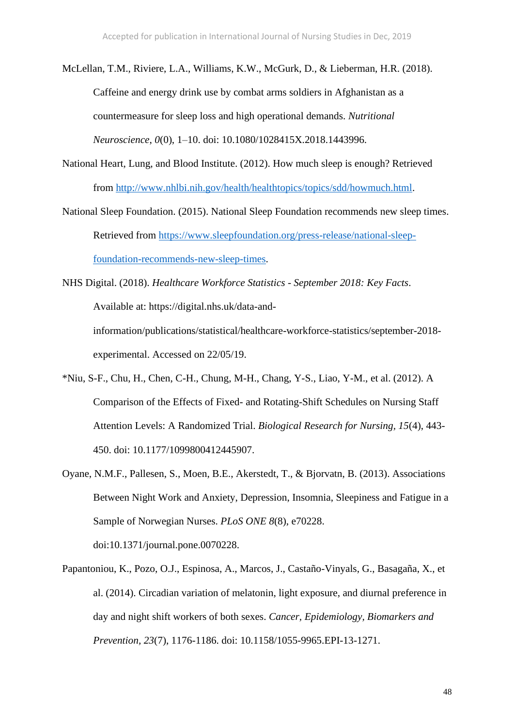McLellan, T.M., Riviere, L.A., Williams, K.W., McGurk, D., & Lieberman, H.R. (2018). Caffeine and energy drink use by combat arms soldiers in Afghanistan as a countermeasure for sleep loss and high operational demands. *Nutritional Neuroscience*, *0*(0), 1–10. doi: 10.1080/1028415X.2018.1443996.

National Heart, Lung, and Blood Institute. (2012). How much sleep is enough? Retrieved from [http://www.nhlbi.nih.gov/health/healthtopics/topics/sdd/howmuch.html.](http://www.nhlbi.nih.gov/health/healthtopics/topics/sdd/howmuch.html)

- National Sleep Foundation. (2015). National Sleep Foundation recommends new sleep times. Retrieved from [https://www.sleepfoundation.org/press-release/national-sleep](https://www.sleepfoundation.org/press-release/national-sleep-foundation-recommends-new-sleep-times)[foundation-recommends-new-sleep-times.](https://www.sleepfoundation.org/press-release/national-sleep-foundation-recommends-new-sleep-times)
- NHS Digital. (2018). *Healthcare Workforce Statistics - September 2018: Key Facts*. Available at: https://digital.nhs.uk/data-andinformation/publications/statistical/healthcare-workforce-statistics/september-2018 experimental. Accessed on 22/05/19.
- \*Niu, S-F., Chu, H., Chen, C-H., Chung, M-H., Chang, Y-S., Liao, Y-M., et al. (2012). A Comparison of the Effects of Fixed- and Rotating-Shift Schedules on Nursing Staff Attention Levels: A Randomized Trial. *Biological Research for Nursing, 15*(4), 443- 450. doi: 10.1177/1099800412445907.
- Oyane, N.M.F., Pallesen, S., Moen, B.E., Akerstedt, T., & Bjorvatn, B. (2013). Associations Between Night Work and Anxiety, Depression, Insomnia, Sleepiness and Fatigue in a Sample of Norwegian Nurses. *PLoS ONE 8*(8), e70228. doi:10.1371/journal.pone.0070228.
- Papantoniou, K., Pozo, O.J., Espinosa, A., Marcos, J., Castaño-Vinyals, G., Basagaña, X., et al. (2014). Circadian variation of melatonin, light exposure, and diurnal preference in day and night shift workers of both sexes. *Cancer, Epidemiology, Biomarkers and Prevention, 23*(7), 1176-1186. doi: 10.1158/1055-9965.EPI-13-1271.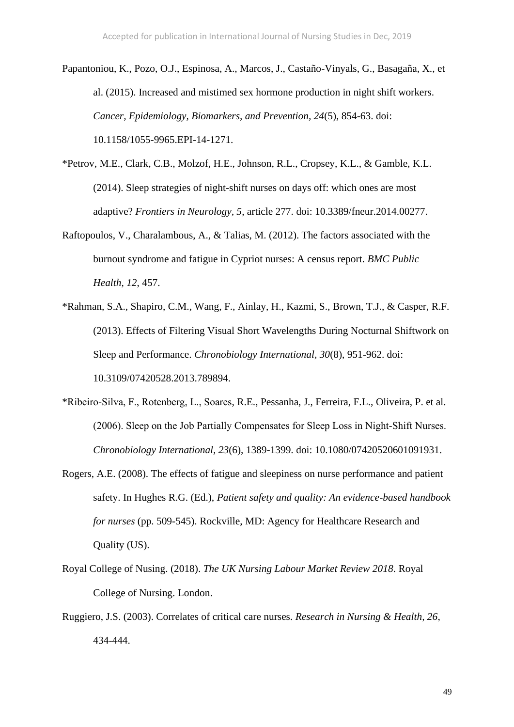Papantoniou, K., Pozo, O.J., Espinosa, A., Marcos, J., Castaño-Vinyals, G., Basagaña, X., et al. (2015). Increased and mistimed sex hormone production in night shift workers. *Cancer, Epidemiology, Biomarkers, and Prevention, 24*(5), 854-63. doi: 10.1158/1055-9965.EPI-14-1271.

- \*Petrov, M.E., Clark, C.B., Molzof, H.E., Johnson, R.L., Cropsey, K.L., & Gamble, K.L. (2014). Sleep strategies of night-shift nurses on days off: which ones are most adaptive? *Frontiers in Neurology, 5*, article 277. doi: 10.3389/fneur.2014.00277.
- Raftopoulos, V., Charalambous, A., & Talias, M. (2012). The factors associated with the burnout syndrome and fatigue in Cypriot nurses: A census report. *BMC Public Health, 12*, 457.
- \*Rahman, S.A., Shapiro, C.M., Wang, F., Ainlay, H., Kazmi, S., Brown, T.J., & Casper, R.F. (2013). Effects of Filtering Visual Short Wavelengths During Nocturnal Shiftwork on Sleep and Performance. *Chronobiology International, 30*(8), 951-962. doi: 10.3109/07420528.2013.789894.
- \*Ribeiro‐Silva, F., Rotenberg, L., Soares, R.E., Pessanha, J., Ferreira, F.L., Oliveira, P. et al. (2006). Sleep on the Job Partially Compensates for Sleep Loss in Night‐Shift Nurses. *Chronobiology International, 23*(6), 1389-1399. doi: 10.1080/07420520601091931.
- Rogers, A.E. (2008). The effects of fatigue and sleepiness on nurse performance and patient safety. In Hughes R.G. (Ed.), *Patient safety and quality: An evidence-based handbook for nurses* (pp. 509-545). Rockville, MD: Agency for Healthcare Research and Quality (US).
- Royal College of Nusing. (2018). *The UK Nursing Labour Market Review 2018*. Royal College of Nursing. London.
- Ruggiero, J.S. (2003). Correlates of critical care nurses. *Research in Nursing & Health, 26*, 434-444.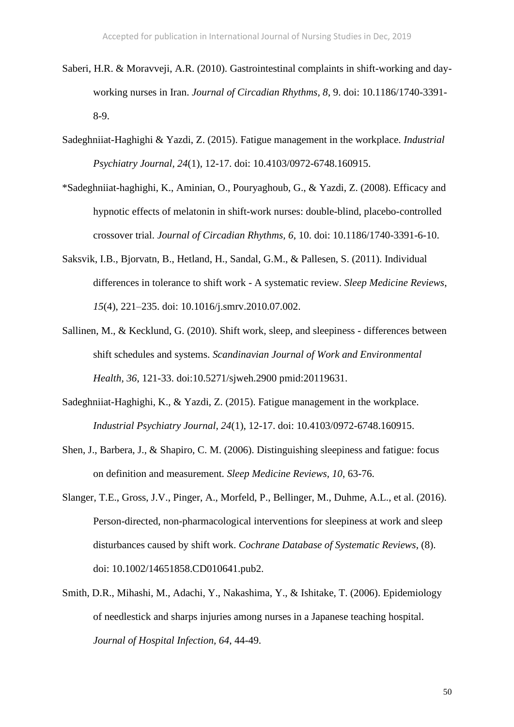- Saberi, H.R. & Moravveji, A.R. (2010). Gastrointestinal complaints in shift-working and dayworking nurses in Iran. *Journal of Circadian Rhythms, 8*, 9. doi: 10.1186/1740-3391- 8-9.
- Sadeghniiat-Haghighi & Yazdi, Z. (2015). Fatigue management in the workplace. *Industrial Psychiatry Journal, 24*(1), 12-17. doi: 10.4103/0972-6748.160915.
- \*Sadeghniiat-haghighi, K., Aminian, O., Pouryaghoub, G., & Yazdi, Z. (2008). Efficacy and hypnotic effects of melatonin in shift-work nurses: double-blind, placebo-controlled crossover trial. *Journal of Circadian Rhythms, 6*, 10. doi: 10.1186/1740-3391-6-10.
- Saksvik, I.B., Bjorvatn, B., Hetland, H., Sandal, G.M., & Pallesen, S. (2011). Individual differences in tolerance to shift work - A systematic review. *Sleep Medicine Reviews*, *15*(4), 221–235. doi: 10.1016/j.smrv.2010.07.002.
- Sallinen, M., & Kecklund, G. (2010). Shift work, sleep, and sleepiness differences between shift schedules and systems. *Scandinavian Journal of Work and Environmental Health, 36*, 121-33. doi:10.5271/sjweh.2900 pmid:20119631.
- Sadeghniiat-Haghighi, K., & Yazdi, Z. (2015). Fatigue management in the workplace. *Industrial Psychiatry Journal, 24*(1), 12-17. doi: 10.4103/0972-6748.160915.
- Shen, J., Barbera, J., & Shapiro, C. M. (2006). Distinguishing sleepiness and fatigue: focus on definition and measurement. *Sleep Medicine Reviews, 10*, 63-76.
- Slanger, T.E., Gross, J.V., Pinger, A., Morfeld, P., Bellinger, M., Duhme, A.L., et al. (2016). Person-directed, non-pharmacological interventions for sleepiness at work and sleep disturbances caused by shift work. *Cochrane Database of Systematic Reviews*, (8). doi: 10.1002/14651858.CD010641.pub2.
- Smith, D.R., Mihashi, M., Adachi, Y., Nakashima, Y., & Ishitake, T. (2006). Epidemiology of needlestick and sharps injuries among nurses in a Japanese teaching hospital. *Journal of Hospital Infection, 64*, 44-49.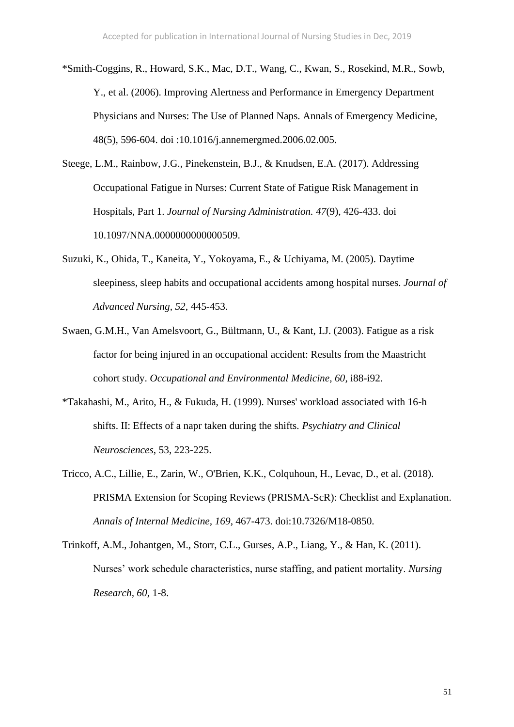\*Smith-Coggins, R., Howard, S.K., Mac, D.T., Wang, C., Kwan, S., Rosekind, M.R., Sowb, Y., et al. (2006). Improving Alertness and Performance in Emergency Department Physicians and Nurses: The Use of Planned Naps. Annals of Emergency Medicine, 48(5), 596-604. doi :10.1016/j.annemergmed.2006.02.005.

Steege, L.M., Rainbow, J.G., Pinekenstein, B.J., & Knudsen, E.A. (2017). Addressing Occupational Fatigue in Nurses: Current State of Fatigue Risk Management in Hospitals, Part 1. *Journal of Nursing Administration. 47*(9), 426-433. doi 10.1097/NNA.0000000000000509.

- Suzuki, K., Ohida, T., Kaneita, Y., Yokoyama, E., & Uchiyama, M. (2005). Daytime sleepiness, sleep habits and occupational accidents among hospital nurses. *Journal of Advanced Nursing, 52*, 445-453.
- Swaen, G.M.H., Van Amelsvoort, G., Bültmann, U., & Kant, I.J. (2003). Fatigue as a risk factor for being injured in an occupational accident: Results from the Maastricht cohort study. *Occupational and Environmental Medicine, 60*, i88-i92.
- \*Takahashi, M., Arito, H., & Fukuda, H. (1999). Nurses' workload associated with 16-h shifts. II: Effects of a napr taken during the shifts. *Psychiatry and Clinical Neurosciences*, 53, 223-225.
- Tricco, A.C., Lillie, E., Zarin, W., O'Brien, K.K., Colquhoun, H., Levac, D., et al. (2018). PRISMA Extension for Scoping Reviews (PRISMA-ScR): Checklist and Explanation. *Annals of Internal Medicine, 169*, 467-473. doi:10.7326/M18-0850.
- Trinkoff, A.M., Johantgen, M., Storr, C.L., Gurses, A.P., Liang, Y., & Han, K. (2011). Nurses' work schedule characteristics, nurse staffing, and patient mortality. *Nursing Research, 60*, 1-8.